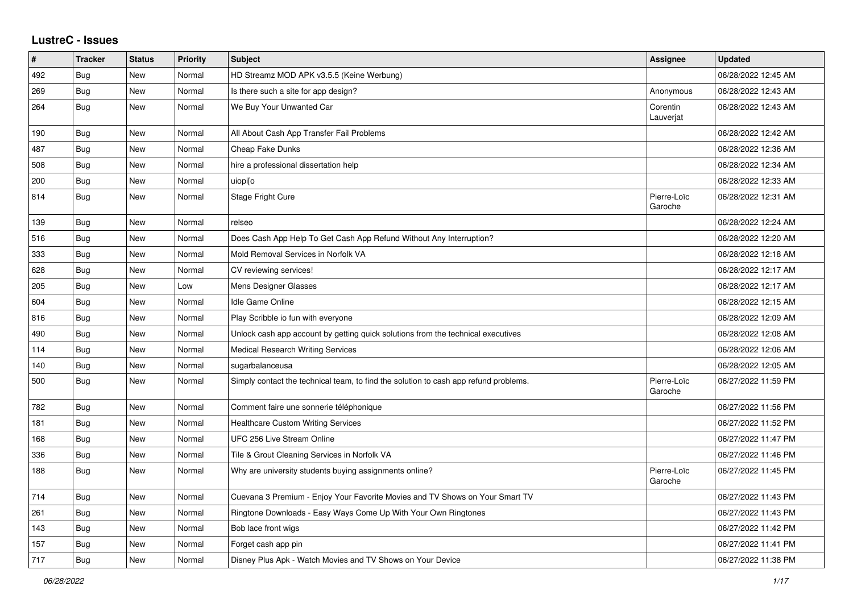## **LustreC - Issues**

| $\pmb{\#}$ | <b>Tracker</b> | <b>Status</b> | <b>Priority</b> | <b>Subject</b>                                                                       | Assignee               | <b>Updated</b>      |
|------------|----------------|---------------|-----------------|--------------------------------------------------------------------------------------|------------------------|---------------------|
| 492        | Bug            | New           | Normal          | HD Streamz MOD APK v3.5.5 (Keine Werbung)                                            |                        | 06/28/2022 12:45 AM |
| 269        | <b>Bug</b>     | New           | Normal          | Is there such a site for app design?                                                 | Anonymous              | 06/28/2022 12:43 AM |
| 264        | <b>Bug</b>     | <b>New</b>    | Normal          | We Buy Your Unwanted Car                                                             | Corentin<br>Lauverjat  | 06/28/2022 12:43 AM |
| 190        | <b>Bug</b>     | <b>New</b>    | Normal          | All About Cash App Transfer Fail Problems                                            |                        | 06/28/2022 12:42 AM |
| 487        | Bug            | New           | Normal          | Cheap Fake Dunks                                                                     |                        | 06/28/2022 12:36 AM |
| 508        | <b>Bug</b>     | New           | Normal          | hire a professional dissertation help                                                |                        | 06/28/2022 12:34 AM |
| 200        | Bug            | New           | Normal          | uiopi[o                                                                              |                        | 06/28/2022 12:33 AM |
| 814        | <b>Bug</b>     | <b>New</b>    | Normal          | <b>Stage Fright Cure</b>                                                             | Pierre-Loïc<br>Garoche | 06/28/2022 12:31 AM |
| 139        | <b>Bug</b>     | New           | Normal          | relseo                                                                               |                        | 06/28/2022 12:24 AM |
| 516        | Bug            | New           | Normal          | Does Cash App Help To Get Cash App Refund Without Any Interruption?                  |                        | 06/28/2022 12:20 AM |
| 333        | Bug            | New           | Normal          | Mold Removal Services in Norfolk VA                                                  |                        | 06/28/2022 12:18 AM |
| 628        | <b>Bug</b>     | New           | Normal          | CV reviewing services!                                                               |                        | 06/28/2022 12:17 AM |
| 205        | <b>Bug</b>     | New           | Low             | Mens Designer Glasses                                                                |                        | 06/28/2022 12:17 AM |
| 604        | <b>Bug</b>     | New           | Normal          | <b>Idle Game Online</b>                                                              |                        | 06/28/2022 12:15 AM |
| 816        | Bug            | New           | Normal          | Play Scribble io fun with everyone                                                   |                        | 06/28/2022 12:09 AM |
| 490        | <b>Bug</b>     | New           | Normal          | Unlock cash app account by getting quick solutions from the technical executives     |                        | 06/28/2022 12:08 AM |
| 114        | <b>Bug</b>     | New           | Normal          | <b>Medical Research Writing Services</b>                                             |                        | 06/28/2022 12:06 AM |
| 140        | <b>Bug</b>     | New           | Normal          | sugarbalanceusa                                                                      |                        | 06/28/2022 12:05 AM |
| 500        | <b>Bug</b>     | <b>New</b>    | Normal          | Simply contact the technical team, to find the solution to cash app refund problems. | Pierre-Loïc<br>Garoche | 06/27/2022 11:59 PM |
| 782        | Bug            | New           | Normal          | Comment faire une sonnerie téléphonique                                              |                        | 06/27/2022 11:56 PM |
| 181        | Bug            | New           | Normal          | <b>Healthcare Custom Writing Services</b>                                            |                        | 06/27/2022 11:52 PM |
| 168        | Bug            | New           | Normal          | UFC 256 Live Stream Online                                                           |                        | 06/27/2022 11:47 PM |
| 336        | <b>Bug</b>     | New           | Normal          | Tile & Grout Cleaning Services in Norfolk VA                                         |                        | 06/27/2022 11:46 PM |
| 188        | <b>Bug</b>     | <b>New</b>    | Normal          | Why are university students buying assignments online?                               | Pierre-Loïc<br>Garoche | 06/27/2022 11:45 PM |
| 714        | <b>Bug</b>     | New           | Normal          | Cuevana 3 Premium - Enjoy Your Favorite Movies and TV Shows on Your Smart TV         |                        | 06/27/2022 11:43 PM |
| 261        | <b>Bug</b>     | New           | Normal          | Ringtone Downloads - Easy Ways Come Up With Your Own Ringtones                       |                        | 06/27/2022 11:43 PM |
| 143        | <b>Bug</b>     | New           | Normal          | Bob lace front wigs                                                                  |                        | 06/27/2022 11:42 PM |
| 157        | <b>Bug</b>     | New           | Normal          | Forget cash app pin                                                                  |                        | 06/27/2022 11:41 PM |
| 717        | <b>Bug</b>     | <b>New</b>    | Normal          | Disney Plus Apk - Watch Movies and TV Shows on Your Device                           |                        | 06/27/2022 11:38 PM |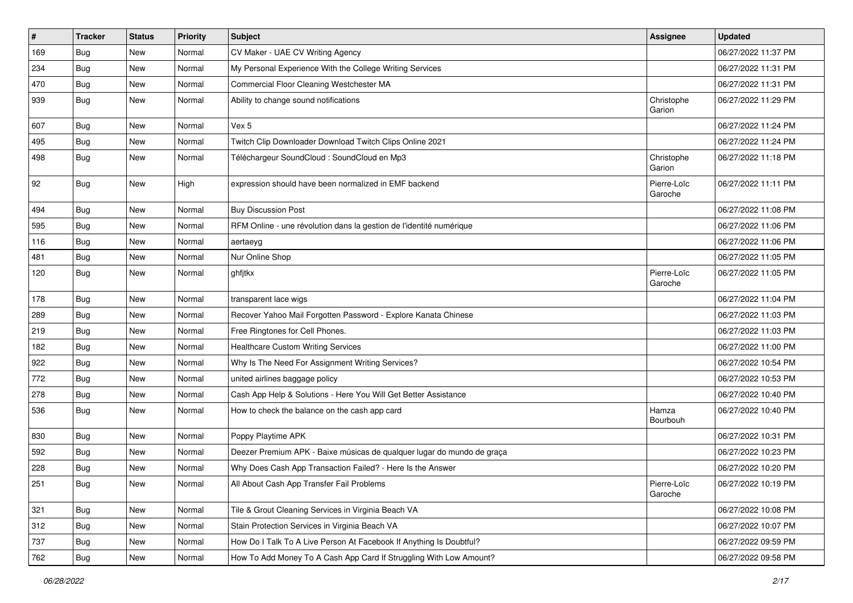| #   | <b>Tracker</b> | <b>Status</b> | <b>Priority</b> | <b>Subject</b>                                                         | <b>Assignee</b>        | <b>Updated</b>      |
|-----|----------------|---------------|-----------------|------------------------------------------------------------------------|------------------------|---------------------|
| 169 | <b>Bug</b>     | New           | Normal          | CV Maker - UAE CV Writing Agency                                       |                        | 06/27/2022 11:37 PM |
| 234 | <b>Bug</b>     | New           | Normal          | My Personal Experience With the College Writing Services               |                        | 06/27/2022 11:31 PM |
| 470 | Bug            | New           | Normal          | Commercial Floor Cleaning Westchester MA                               |                        | 06/27/2022 11:31 PM |
| 939 | <b>Bug</b>     | New           | Normal          | Ability to change sound notifications                                  | Christophe<br>Garion   | 06/27/2022 11:29 PM |
| 607 | <b>Bug</b>     | New           | Normal          | Vex 5                                                                  |                        | 06/27/2022 11:24 PM |
| 495 | Bug            | New           | Normal          | Twitch Clip Downloader Download Twitch Clips Online 2021               |                        | 06/27/2022 11:24 PM |
| 498 | <b>Bug</b>     | New           | Normal          | Téléchargeur SoundCloud : SoundCloud en Mp3                            | Christophe<br>Garion   | 06/27/2022 11:18 PM |
| 92  | <b>Bug</b>     | New           | High            | expression should have been normalized in EMF backend                  | Pierre-Loïc<br>Garoche | 06/27/2022 11:11 PM |
| 494 | <b>Bug</b>     | <b>New</b>    | Normal          | <b>Buy Discussion Post</b>                                             |                        | 06/27/2022 11:08 PM |
| 595 | Bug            | New           | Normal          | RFM Online - une révolution dans la gestion de l'identité numérique    |                        | 06/27/2022 11:06 PM |
| 116 | <b>Bug</b>     | New           | Normal          | aertaeyg                                                               |                        | 06/27/2022 11:06 PM |
| 481 | <b>Bug</b>     | New           | Normal          | Nur Online Shop                                                        |                        | 06/27/2022 11:05 PM |
| 120 | <b>Bug</b>     | New           | Normal          | ghfjtkx                                                                | Pierre-Loïc<br>Garoche | 06/27/2022 11:05 PM |
| 178 | Bug            | New           | Normal          | transparent lace wigs                                                  |                        | 06/27/2022 11:04 PM |
| 289 | Bug            | New           | Normal          | Recover Yahoo Mail Forgotten Password - Explore Kanata Chinese         |                        | 06/27/2022 11:03 PM |
| 219 | <b>Bug</b>     | <b>New</b>    | Normal          | Free Ringtones for Cell Phones.                                        |                        | 06/27/2022 11:03 PM |
| 182 | Bug            | New           | Normal          | <b>Healthcare Custom Writing Services</b>                              |                        | 06/27/2022 11:00 PM |
| 922 | <b>Bug</b>     | New           | Normal          | Why Is The Need For Assignment Writing Services?                       |                        | 06/27/2022 10:54 PM |
| 772 | <b>Bug</b>     | New           | Normal          | united airlines baggage policy                                         |                        | 06/27/2022 10:53 PM |
| 278 | <b>Bug</b>     | New           | Normal          | Cash App Help & Solutions - Here You Will Get Better Assistance        |                        | 06/27/2022 10:40 PM |
| 536 | Bug            | New           | Normal          | How to check the balance on the cash app card                          | Hamza<br>Bourbouh      | 06/27/2022 10:40 PM |
| 830 | Bug            | New           | Normal          | Poppy Playtime APK                                                     |                        | 06/27/2022 10:31 PM |
| 592 | <b>Bug</b>     | New           | Normal          | Deezer Premium APK - Baixe músicas de qualquer lugar do mundo de graça |                        | 06/27/2022 10:23 PM |
| 228 | <b>Bug</b>     | New           | Normal          | Why Does Cash App Transaction Failed? - Here Is the Answer             |                        | 06/27/2022 10:20 PM |
| 251 | Bug            | New           | Normal          | All About Cash App Transfer Fail Problems                              | Pierre-Loïc<br>Garoche | 06/27/2022 10:19 PM |
| 321 | Bug            | New           | Normal          | Tile & Grout Cleaning Services in Virginia Beach VA                    |                        | 06/27/2022 10:08 PM |
| 312 | <b>Bug</b>     | New           | Normal          | Stain Protection Services in Virginia Beach VA                         |                        | 06/27/2022 10:07 PM |
| 737 | <b>Bug</b>     | New           | Normal          | How Do I Talk To A Live Person At Facebook If Anything Is Doubtful?    |                        | 06/27/2022 09:59 PM |
| 762 | Bug            | New           | Normal          | How To Add Money To A Cash App Card If Struggling With Low Amount?     |                        | 06/27/2022 09:58 PM |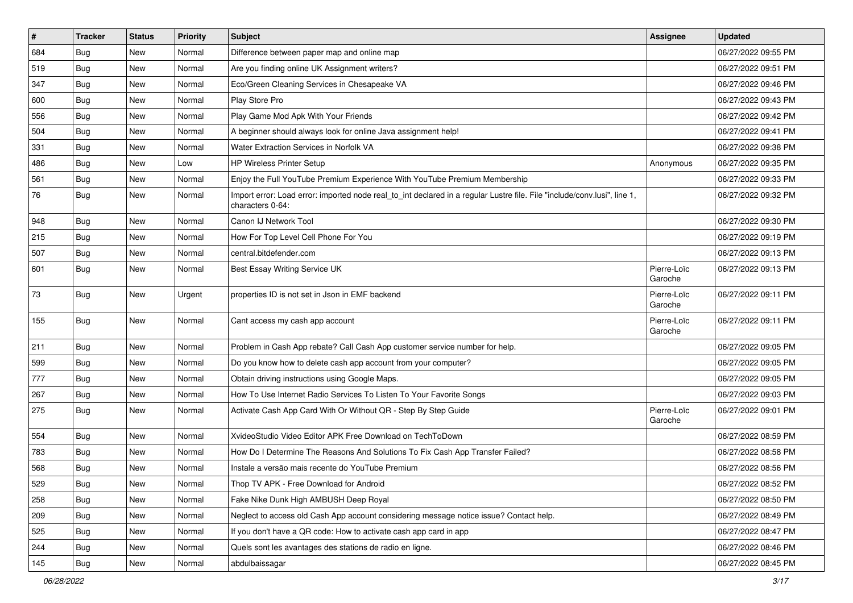| $\vert$ # | <b>Tracker</b> | <b>Status</b> | <b>Priority</b> | Subject                                                                                                                                      | Assignee               | <b>Updated</b>      |
|-----------|----------------|---------------|-----------------|----------------------------------------------------------------------------------------------------------------------------------------------|------------------------|---------------------|
| 684       | <b>Bug</b>     | New           | Normal          | Difference between paper map and online map                                                                                                  |                        | 06/27/2022 09:55 PM |
| 519       | <b>Bug</b>     | New           | Normal          | Are you finding online UK Assignment writers?                                                                                                |                        | 06/27/2022 09:51 PM |
| 347       | Bug            | New           | Normal          | Eco/Green Cleaning Services in Chesapeake VA                                                                                                 |                        | 06/27/2022 09:46 PM |
| 600       | <b>Bug</b>     | <b>New</b>    | Normal          | Play Store Pro                                                                                                                               |                        | 06/27/2022 09:43 PM |
| 556       | Bug            | New           | Normal          | Play Game Mod Apk With Your Friends                                                                                                          |                        | 06/27/2022 09:42 PM |
| 504       | <b>Bug</b>     | <b>New</b>    | Normal          | A beginner should always look for online Java assignment help!                                                                               |                        | 06/27/2022 09:41 PM |
| 331       | Bug            | New           | Normal          | Water Extraction Services in Norfolk VA                                                                                                      |                        | 06/27/2022 09:38 PM |
| 486       | <b>Bug</b>     | New           | Low             | <b>HP Wireless Printer Setup</b>                                                                                                             | Anonymous              | 06/27/2022 09:35 PM |
| 561       | <b>Bug</b>     | New           | Normal          | Enjoy the Full YouTube Premium Experience With YouTube Premium Membership                                                                    |                        | 06/27/2022 09:33 PM |
| 76        | <b>Bug</b>     | New           | Normal          | Import error: Load error: imported node real_to_int declared in a regular Lustre file. File "include/conv.lusi", line 1,<br>characters 0-64: |                        | 06/27/2022 09:32 PM |
| 948       | Bug            | <b>New</b>    | Normal          | Canon IJ Network Tool                                                                                                                        |                        | 06/27/2022 09:30 PM |
| 215       | Bug            | New           | Normal          | How For Top Level Cell Phone For You                                                                                                         |                        | 06/27/2022 09:19 PM |
| 507       | <b>Bug</b>     | New           | Normal          | central.bitdefender.com                                                                                                                      |                        | 06/27/2022 09:13 PM |
| 601       | <b>Bug</b>     | New           | Normal          | Best Essay Writing Service UK                                                                                                                | Pierre-Loïc<br>Garoche | 06/27/2022 09:13 PM |
| 73        | Bug            | New           | Urgent          | properties ID is not set in Json in EMF backend                                                                                              | Pierre-Loïc<br>Garoche | 06/27/2022 09:11 PM |
| 155       | Bug            | New           | Normal          | Cant access my cash app account                                                                                                              | Pierre-Loïc<br>Garoche | 06/27/2022 09:11 PM |
| 211       | Bug            | New           | Normal          | Problem in Cash App rebate? Call Cash App customer service number for help.                                                                  |                        | 06/27/2022 09:05 PM |
| 599       | <b>Bug</b>     | New           | Normal          | Do you know how to delete cash app account from your computer?                                                                               |                        | 06/27/2022 09:05 PM |
| 777       | Bug            | New           | Normal          | Obtain driving instructions using Google Maps.                                                                                               |                        | 06/27/2022 09:05 PM |
| 267       | <b>Bug</b>     | New           | Normal          | How To Use Internet Radio Services To Listen To Your Favorite Songs                                                                          |                        | 06/27/2022 09:03 PM |
| 275       | <b>Bug</b>     | New           | Normal          | Activate Cash App Card With Or Without QR - Step By Step Guide                                                                               | Pierre-Loïc<br>Garoche | 06/27/2022 09:01 PM |
| 554       | Bug            | New           | Normal          | XvideoStudio Video Editor APK Free Download on TechToDown                                                                                    |                        | 06/27/2022 08:59 PM |
| 783       | <b>Bug</b>     | <b>New</b>    | Normal          | How Do I Determine The Reasons And Solutions To Fix Cash App Transfer Failed?                                                                |                        | 06/27/2022 08:58 PM |
| 568       | Bug            | <b>New</b>    | Normal          | Instale a versão mais recente do YouTube Premium                                                                                             |                        | 06/27/2022 08:56 PM |
| 529       | Bug            | New           | Normal          | Thop TV APK - Free Download for Android                                                                                                      |                        | 06/27/2022 08:52 PM |
| 258       | <b>Bug</b>     | New           | Normal          | Fake Nike Dunk High AMBUSH Deep Royal                                                                                                        |                        | 06/27/2022 08:50 PM |
| 209       | <b>Bug</b>     | New           | Normal          | Neglect to access old Cash App account considering message notice issue? Contact help.                                                       |                        | 06/27/2022 08:49 PM |
| 525       | Bug            | New           | Normal          | If you don't have a QR code: How to activate cash app card in app                                                                            |                        | 06/27/2022 08:47 PM |
| 244       | <b>Bug</b>     | New           | Normal          | Quels sont les avantages des stations de radio en ligne.                                                                                     |                        | 06/27/2022 08:46 PM |
| 145       | Bug            | New           | Normal          | abdulbaissagar                                                                                                                               |                        | 06/27/2022 08:45 PM |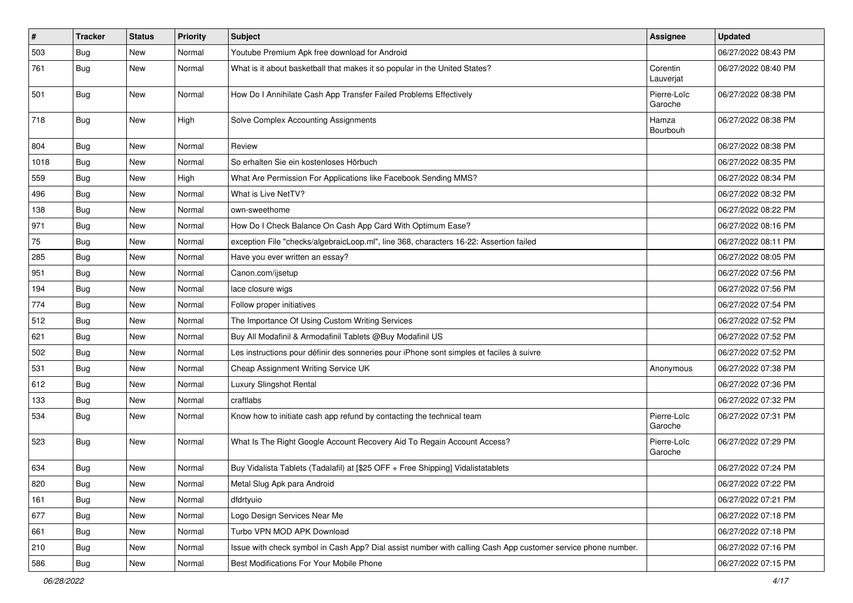| $\vert$ # | <b>Tracker</b> | <b>Status</b> | Priority | Subject                                                                                                      | <b>Assignee</b>        | <b>Updated</b>      |
|-----------|----------------|---------------|----------|--------------------------------------------------------------------------------------------------------------|------------------------|---------------------|
| 503       | <b>Bug</b>     | New           | Normal   | Youtube Premium Apk free download for Android                                                                |                        | 06/27/2022 08:43 PM |
| 761       | <b>Bug</b>     | New           | Normal   | What is it about basketball that makes it so popular in the United States?                                   | Corentin<br>Lauverjat  | 06/27/2022 08:40 PM |
| 501       | <b>Bug</b>     | New           | Normal   | How Do I Annihilate Cash App Transfer Failed Problems Effectively                                            | Pierre-Loïc<br>Garoche | 06/27/2022 08:38 PM |
| 718       | Bug            | <b>New</b>    | High     | Solve Complex Accounting Assignments                                                                         | Hamza<br>Bourbouh      | 06/27/2022 08:38 PM |
| 804       | Bug            | <b>New</b>    | Normal   | Review                                                                                                       |                        | 06/27/2022 08:38 PM |
| 1018      | <b>Bug</b>     | New           | Normal   | So erhalten Sie ein kostenloses Hörbuch                                                                      |                        | 06/27/2022 08:35 PM |
| 559       | Bug            | New           | High     | What Are Permission For Applications like Facebook Sending MMS?                                              |                        | 06/27/2022 08:34 PM |
| 496       | <b>Bug</b>     | New           | Normal   | What is Live NetTV?                                                                                          |                        | 06/27/2022 08:32 PM |
| 138       | <b>Bug</b>     | New           | Normal   | own-sweethome                                                                                                |                        | 06/27/2022 08:22 PM |
| 971       | <b>Bug</b>     | New           | Normal   | How Do I Check Balance On Cash App Card With Optimum Ease?                                                   |                        | 06/27/2022 08:16 PM |
| 75        | <b>Bug</b>     | New           | Normal   | exception File "checks/algebraicLoop.ml", line 368, characters 16-22: Assertion failed                       |                        | 06/27/2022 08:11 PM |
| 285       | <b>Bug</b>     | New           | Normal   | Have you ever written an essay?                                                                              |                        | 06/27/2022 08:05 PM |
| 951       | <b>Bug</b>     | New           | Normal   | Canon.com/ijsetup                                                                                            |                        | 06/27/2022 07:56 PM |
| 194       | <b>Bug</b>     | New           | Normal   | lace closure wigs                                                                                            |                        | 06/27/2022 07:56 PM |
| 774       | <b>Bug</b>     | New           | Normal   | Follow proper initiatives                                                                                    |                        | 06/27/2022 07:54 PM |
| 512       | <b>Bug</b>     | New           | Normal   | The Importance Of Using Custom Writing Services                                                              |                        | 06/27/2022 07:52 PM |
| 621       | <b>Bug</b>     | New           | Normal   | Buy All Modafinil & Armodafinil Tablets @Buy Modafinil US                                                    |                        | 06/27/2022 07:52 PM |
| 502       | Bug            | <b>New</b>    | Normal   | Les instructions pour définir des sonneries pour iPhone sont simples et faciles à suivre                     |                        | 06/27/2022 07:52 PM |
| 531       | <b>Bug</b>     | New           | Normal   | Cheap Assignment Writing Service UK                                                                          | Anonymous              | 06/27/2022 07:38 PM |
| 612       | <b>Bug</b>     | New           | Normal   | Luxury Slingshot Rental                                                                                      |                        | 06/27/2022 07:36 PM |
| 133       | <b>Bug</b>     | New           | Normal   | craftlabs                                                                                                    |                        | 06/27/2022 07:32 PM |
| 534       | <b>Bug</b>     | New           | Normal   | Know how to initiate cash app refund by contacting the technical team                                        | Pierre-Loïc<br>Garoche | 06/27/2022 07:31 PM |
| 523       | Bug            | New           | Normal   | What Is The Right Google Account Recovery Aid To Regain Account Access?                                      | Pierre-Loïc<br>Garoche | 06/27/2022 07:29 PM |
| 634       | <b>Bug</b>     | <b>New</b>    | Normal   | Buy Vidalista Tablets (Tadalafil) at [\$25 OFF + Free Shipping] Vidalistatablets                             |                        | 06/27/2022 07:24 PM |
| 820       | Bug            | New           | Normal   | Metal Slug Apk para Android                                                                                  |                        | 06/27/2022 07:22 PM |
| 161       | <b>Bug</b>     | New           | Normal   | dfdrtyuio                                                                                                    |                        | 06/27/2022 07:21 PM |
| 677       | <b>Bug</b>     | New           | Normal   | Logo Design Services Near Me                                                                                 |                        | 06/27/2022 07:18 PM |
| 661       | <b>Bug</b>     | New           | Normal   | Turbo VPN MOD APK Download                                                                                   |                        | 06/27/2022 07:18 PM |
| 210       | <b>Bug</b>     | New           | Normal   | Issue with check symbol in Cash App? Dial assist number with calling Cash App customer service phone number. |                        | 06/27/2022 07:16 PM |
| 586       | Bug            | New           | Normal   | Best Modifications For Your Mobile Phone                                                                     |                        | 06/27/2022 07:15 PM |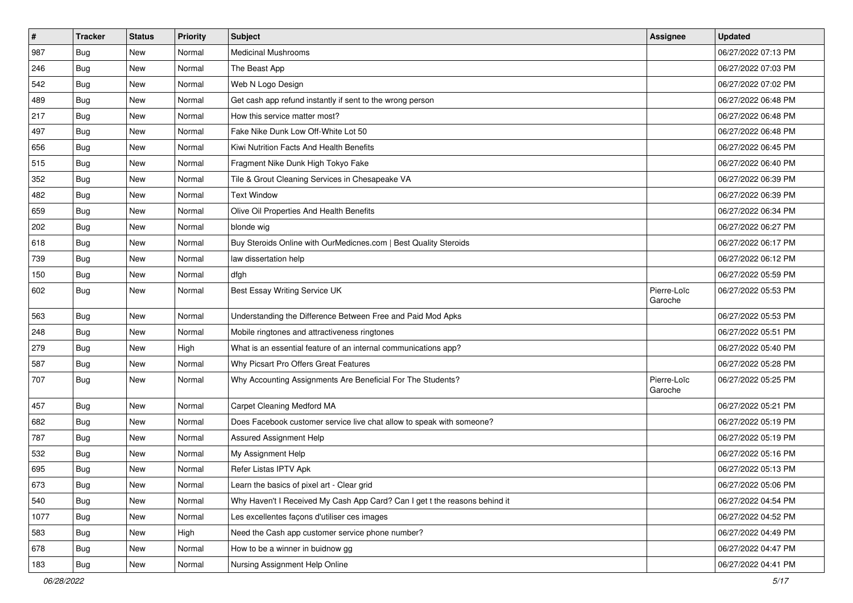| $\sharp$ | <b>Tracker</b> | <b>Status</b> | Priority | <b>Subject</b>                                                             | Assignee               | <b>Updated</b>      |
|----------|----------------|---------------|----------|----------------------------------------------------------------------------|------------------------|---------------------|
| 987      | Bug            | New           | Normal   | <b>Medicinal Mushrooms</b>                                                 |                        | 06/27/2022 07:13 PM |
| 246      | Bug            | <b>New</b>    | Normal   | The Beast App                                                              |                        | 06/27/2022 07:03 PM |
| 542      | Bug            | New           | Normal   | Web N Logo Design                                                          |                        | 06/27/2022 07:02 PM |
| 489      | Bug            | New           | Normal   | Get cash app refund instantly if sent to the wrong person                  |                        | 06/27/2022 06:48 PM |
| 217      | Bug            | New           | Normal   | How this service matter most?                                              |                        | 06/27/2022 06:48 PM |
| 497      | Bug            | New           | Normal   | Fake Nike Dunk Low Off-White Lot 50                                        |                        | 06/27/2022 06:48 PM |
| 656      | Bug            | <b>New</b>    | Normal   | Kiwi Nutrition Facts And Health Benefits                                   |                        | 06/27/2022 06:45 PM |
| 515      | <b>Bug</b>     | New           | Normal   | Fragment Nike Dunk High Tokyo Fake                                         |                        | 06/27/2022 06:40 PM |
| 352      | <b>Bug</b>     | <b>New</b>    | Normal   | Tile & Grout Cleaning Services in Chesapeake VA                            |                        | 06/27/2022 06:39 PM |
| 482      | Bug            | New           | Normal   | <b>Text Window</b>                                                         |                        | 06/27/2022 06:39 PM |
| 659      | <b>Bug</b>     | <b>New</b>    | Normal   | Olive Oil Properties And Health Benefits                                   |                        | 06/27/2022 06:34 PM |
| 202      | Bug            | New           | Normal   | blonde wig                                                                 |                        | 06/27/2022 06:27 PM |
| 618      | Bug            | New           | Normal   | Buy Steroids Online with OurMedicnes.com   Best Quality Steroids           |                        | 06/27/2022 06:17 PM |
| 739      | <b>Bug</b>     | New           | Normal   | law dissertation help                                                      |                        | 06/27/2022 06:12 PM |
| 150      | <b>Bug</b>     | New           | Normal   | dfgh                                                                       |                        | 06/27/2022 05:59 PM |
| 602      | Bug            | New           | Normal   | Best Essay Writing Service UK                                              | Pierre-Loïc<br>Garoche | 06/27/2022 05:53 PM |
| 563      | Bug            | New           | Normal   | Understanding the Difference Between Free and Paid Mod Apks                |                        | 06/27/2022 05:53 PM |
| 248      | <b>Bug</b>     | New           | Normal   | Mobile ringtones and attractiveness ringtones                              |                        | 06/27/2022 05:51 PM |
| 279      | Bug            | New           | High     | What is an essential feature of an internal communications app?            |                        | 06/27/2022 05:40 PM |
| 587      | Bug            | New           | Normal   | Why Picsart Pro Offers Great Features                                      |                        | 06/27/2022 05:28 PM |
| 707      | <b>Bug</b>     | New           | Normal   | Why Accounting Assignments Are Beneficial For The Students?                | Pierre-Loïc<br>Garoche | 06/27/2022 05:25 PM |
| 457      | <b>Bug</b>     | New           | Normal   | Carpet Cleaning Medford MA                                                 |                        | 06/27/2022 05:21 PM |
| 682      | Bug            | New           | Normal   | Does Facebook customer service live chat allow to speak with someone?      |                        | 06/27/2022 05:19 PM |
| 787      | Bug            | New           | Normal   | <b>Assured Assignment Help</b>                                             |                        | 06/27/2022 05:19 PM |
| 532      | <b>Bug</b>     | New           | Normal   | My Assignment Help                                                         |                        | 06/27/2022 05:16 PM |
| 695      | <b>Bug</b>     | <b>New</b>    | Normal   | Refer Listas IPTV Apk                                                      |                        | 06/27/2022 05:13 PM |
| 673      | Bug            | New           | Normal   | Learn the basics of pixel art - Clear grid                                 |                        | 06/27/2022 05:06 PM |
| 540      | <b>Bug</b>     | New           | Normal   | Why Haven't I Received My Cash App Card? Can I get t the reasons behind it |                        | 06/27/2022 04:54 PM |
| 1077     | Bug            | New           | Normal   | Les excellentes façons d'utiliser ces images                               |                        | 06/27/2022 04:52 PM |
| 583      | <b>Bug</b>     | New           | High     | Need the Cash app customer service phone number?                           |                        | 06/27/2022 04:49 PM |
| 678      | <b>Bug</b>     | New           | Normal   | How to be a winner in buidnow gg                                           |                        | 06/27/2022 04:47 PM |
| 183      | Bug            | New           | Normal   | Nursing Assignment Help Online                                             |                        | 06/27/2022 04:41 PM |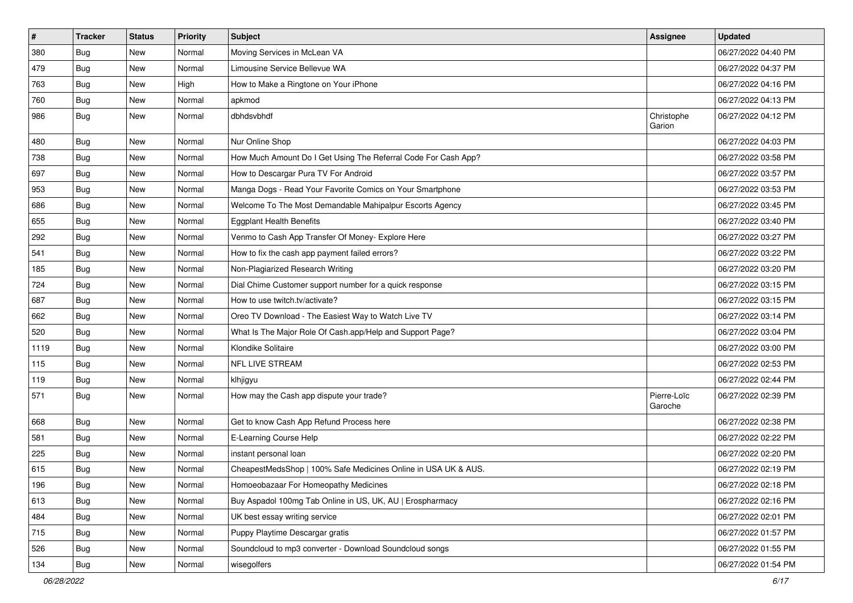| $\vert$ # | <b>Tracker</b> | <b>Status</b> | <b>Priority</b> | Subject                                                        | <b>Assignee</b>        | <b>Updated</b>      |
|-----------|----------------|---------------|-----------------|----------------------------------------------------------------|------------------------|---------------------|
| 380       | Bug            | New           | Normal          | Moving Services in McLean VA                                   |                        | 06/27/2022 04:40 PM |
| 479       | <b>Bug</b>     | <b>New</b>    | Normal          | Limousine Service Bellevue WA                                  |                        | 06/27/2022 04:37 PM |
| 763       | Bug            | <b>New</b>    | High            | How to Make a Ringtone on Your iPhone                          |                        | 06/27/2022 04:16 PM |
| 760       | <b>Bug</b>     | New           | Normal          | apkmod                                                         |                        | 06/27/2022 04:13 PM |
| 986       | Bug            | <b>New</b>    | Normal          | dbhdsvbhdf                                                     | Christophe<br>Garion   | 06/27/2022 04:12 PM |
| 480       | Bug            | <b>New</b>    | Normal          | Nur Online Shop                                                |                        | 06/27/2022 04:03 PM |
| 738       | Bug            | New           | Normal          | How Much Amount Do I Get Using The Referral Code For Cash App? |                        | 06/27/2022 03:58 PM |
| 697       | Bug            | New           | Normal          | How to Descargar Pura TV For Android                           |                        | 06/27/2022 03:57 PM |
| 953       | Bug            | <b>New</b>    | Normal          | Manga Dogs - Read Your Favorite Comics on Your Smartphone      |                        | 06/27/2022 03:53 PM |
| 686       | Bug            | <b>New</b>    | Normal          | Welcome To The Most Demandable Mahipalpur Escorts Agency       |                        | 06/27/2022 03:45 PM |
| 655       | <b>Bug</b>     | New           | Normal          | <b>Eggplant Health Benefits</b>                                |                        | 06/27/2022 03:40 PM |
| 292       | <b>Bug</b>     | <b>New</b>    | Normal          | Venmo to Cash App Transfer Of Money- Explore Here              |                        | 06/27/2022 03:27 PM |
| 541       | Bug            | New           | Normal          | How to fix the cash app payment failed errors?                 |                        | 06/27/2022 03:22 PM |
| 185       | <b>Bug</b>     | <b>New</b>    | Normal          | Non-Plagiarized Research Writing                               |                        | 06/27/2022 03:20 PM |
| 724       | <b>Bug</b>     | New           | Normal          | Dial Chime Customer support number for a quick response        |                        | 06/27/2022 03:15 PM |
| 687       | <b>Bug</b>     | New           | Normal          | How to use twitch.tv/activate?                                 |                        | 06/27/2022 03:15 PM |
| 662       | Bug            | <b>New</b>    | Normal          | Oreo TV Download - The Easiest Way to Watch Live TV            |                        | 06/27/2022 03:14 PM |
| 520       | Bug            | New           | Normal          | What Is The Major Role Of Cash.app/Help and Support Page?      |                        | 06/27/2022 03:04 PM |
| 1119      | Bug            | <b>New</b>    | Normal          | Klondike Solitaire                                             |                        | 06/27/2022 03:00 PM |
| 115       | Bug            | <b>New</b>    | Normal          | <b>NFL LIVE STREAM</b>                                         |                        | 06/27/2022 02:53 PM |
| 119       | <b>Bug</b>     | <b>New</b>    | Normal          | klhjigyu                                                       |                        | 06/27/2022 02:44 PM |
| 571       | <b>Bug</b>     | New           | Normal          | How may the Cash app dispute your trade?                       | Pierre-Loïc<br>Garoche | 06/27/2022 02:39 PM |
| 668       | <b>Bug</b>     | New           | Normal          | Get to know Cash App Refund Process here                       |                        | 06/27/2022 02:38 PM |
| 581       | Bug            | <b>New</b>    | Normal          | E-Learning Course Help                                         |                        | 06/27/2022 02:22 PM |
| 225       | <b>Bug</b>     | New           | Normal          | instant personal loan                                          |                        | 06/27/2022 02:20 PM |
| 615       | <b>Bug</b>     | New           | Normal          | CheapestMedsShop   100% Safe Medicines Online in USA UK & AUS. |                        | 06/27/2022 02:19 PM |
| 196       | Bug            | New           | Normal          | Homoeobazaar For Homeopathy Medicines                          |                        | 06/27/2022 02:18 PM |
| 613       | Bug            | New           | Normal          | Buy Aspadol 100mg Tab Online in US, UK, AU   Erospharmacy      |                        | 06/27/2022 02:16 PM |
| 484       | <b>Bug</b>     | <b>New</b>    | Normal          | UK best essay writing service                                  |                        | 06/27/2022 02:01 PM |
| 715       | <b>Bug</b>     | New           | Normal          | Puppy Playtime Descargar gratis                                |                        | 06/27/2022 01:57 PM |
| 526       | <b>Bug</b>     | New           | Normal          | Soundcloud to mp3 converter - Download Soundcloud songs        |                        | 06/27/2022 01:55 PM |
| 134       | <b>Bug</b>     | New           | Normal          | wisegolfers                                                    |                        | 06/27/2022 01:54 PM |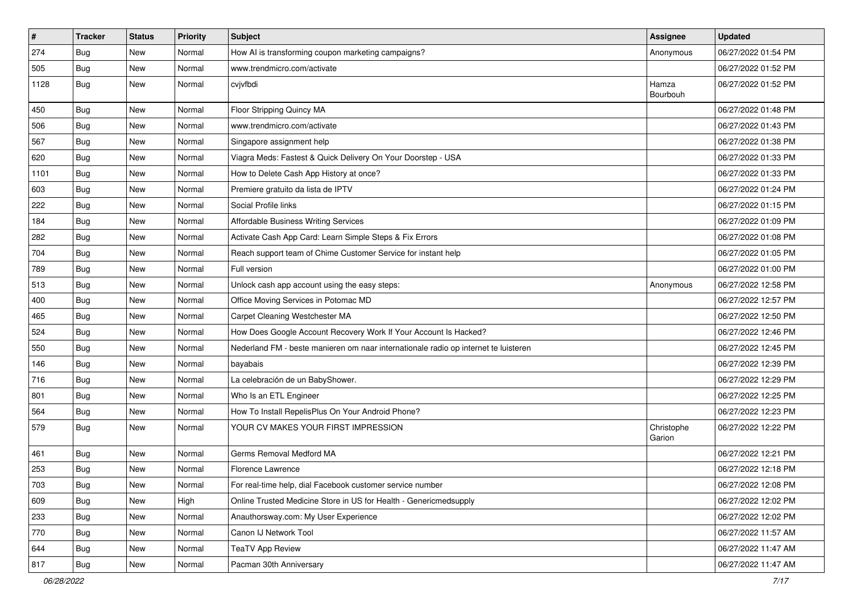| $\vert$ # | <b>Tracker</b> | <b>Status</b> | Priority | Subject                                                                             | <b>Assignee</b>      | <b>Updated</b>      |
|-----------|----------------|---------------|----------|-------------------------------------------------------------------------------------|----------------------|---------------------|
| 274       | <b>Bug</b>     | New           | Normal   | How AI is transforming coupon marketing campaigns?                                  | Anonymous            | 06/27/2022 01:54 PM |
| 505       | <b>Bug</b>     | <b>New</b>    | Normal   | www.trendmicro.com/activate                                                         |                      | 06/27/2022 01:52 PM |
| 1128      | Bug            | New           | Normal   | cvjvfbdi                                                                            | Hamza<br>Bourbouh    | 06/27/2022 01:52 PM |
| 450       | Bug            | <b>New</b>    | Normal   | Floor Stripping Quincy MA                                                           |                      | 06/27/2022 01:48 PM |
| 506       | <b>Bug</b>     | New           | Normal   | www.trendmicro.com/activate                                                         |                      | 06/27/2022 01:43 PM |
| 567       | Bug            | New           | Normal   | Singapore assignment help                                                           |                      | 06/27/2022 01:38 PM |
| 620       | <b>Bug</b>     | <b>New</b>    | Normal   | Viagra Meds: Fastest & Quick Delivery On Your Doorstep - USA                        |                      | 06/27/2022 01:33 PM |
| 1101      | <b>Bug</b>     | New           | Normal   | How to Delete Cash App History at once?                                             |                      | 06/27/2022 01:33 PM |
| 603       | <b>Bug</b>     | <b>New</b>    | Normal   | Premiere gratuito da lista de IPTV                                                  |                      | 06/27/2022 01:24 PM |
| 222       | <b>Bug</b>     | New           | Normal   | Social Profile links                                                                |                      | 06/27/2022 01:15 PM |
| 184       | <b>Bug</b>     | New           | Normal   | Affordable Business Writing Services                                                |                      | 06/27/2022 01:09 PM |
| 282       | <b>Bug</b>     | <b>New</b>    | Normal   | Activate Cash App Card: Learn Simple Steps & Fix Errors                             |                      | 06/27/2022 01:08 PM |
| 704       | <b>Bug</b>     | <b>New</b>    | Normal   | Reach support team of Chime Customer Service for instant help                       |                      | 06/27/2022 01:05 PM |
| 789       | Bug            | New           | Normal   | Full version                                                                        |                      | 06/27/2022 01:00 PM |
| 513       | <b>Bug</b>     | New           | Normal   | Unlock cash app account using the easy steps:                                       | Anonymous            | 06/27/2022 12:58 PM |
| 400       | <b>Bug</b>     | New           | Normal   | Office Moving Services in Potomac MD                                                |                      | 06/27/2022 12:57 PM |
| 465       | Bug            | <b>New</b>    | Normal   | Carpet Cleaning Westchester MA                                                      |                      | 06/27/2022 12:50 PM |
| 524       | <b>Bug</b>     | New           | Normal   | How Does Google Account Recovery Work If Your Account Is Hacked?                    |                      | 06/27/2022 12:46 PM |
| 550       | <b>Bug</b>     | New           | Normal   | Nederland FM - beste manieren om naar internationale radio op internet te luisteren |                      | 06/27/2022 12:45 PM |
| 146       | Bug            | New           | Normal   | bayabais                                                                            |                      | 06/27/2022 12:39 PM |
| 716       | <b>Bug</b>     | New           | Normal   | La celebración de un BabyShower.                                                    |                      | 06/27/2022 12:29 PM |
| 801       | Bug            | <b>New</b>    | Normal   | Who Is an ETL Engineer                                                              |                      | 06/27/2022 12:25 PM |
| 564       | <b>Bug</b>     | New           | Normal   | How To Install RepelisPlus On Your Android Phone?                                   |                      | 06/27/2022 12:23 PM |
| 579       | <b>Bug</b>     | New           | Normal   | YOUR CV MAKES YOUR FIRST IMPRESSION                                                 | Christophe<br>Garion | 06/27/2022 12:22 PM |
| 461       | <b>Bug</b>     | <b>New</b>    | Normal   | Germs Removal Medford MA                                                            |                      | 06/27/2022 12:21 PM |
| 253       | <b>Bug</b>     | New           | Normal   | <b>Florence Lawrence</b>                                                            |                      | 06/27/2022 12:18 PM |
| 703       | Bug            | New           | Normal   | For real-time help, dial Facebook customer service number                           |                      | 06/27/2022 12:08 PM |
| 609       | <b>Bug</b>     | New           | High     | Online Trusted Medicine Store in US for Health - Genericmedsupply                   |                      | 06/27/2022 12:02 PM |
| 233       | Bug            | <b>New</b>    | Normal   | Anauthorsway.com: My User Experience                                                |                      | 06/27/2022 12:02 PM |
| 770       | <b>Bug</b>     | New           | Normal   | Canon IJ Network Tool                                                               |                      | 06/27/2022 11:57 AM |
| 644       | <b>Bug</b>     | New           | Normal   | <b>TeaTV App Review</b>                                                             |                      | 06/27/2022 11:47 AM |
| 817       | <b>Bug</b>     | New           | Normal   | Pacman 30th Anniversary                                                             |                      | 06/27/2022 11:47 AM |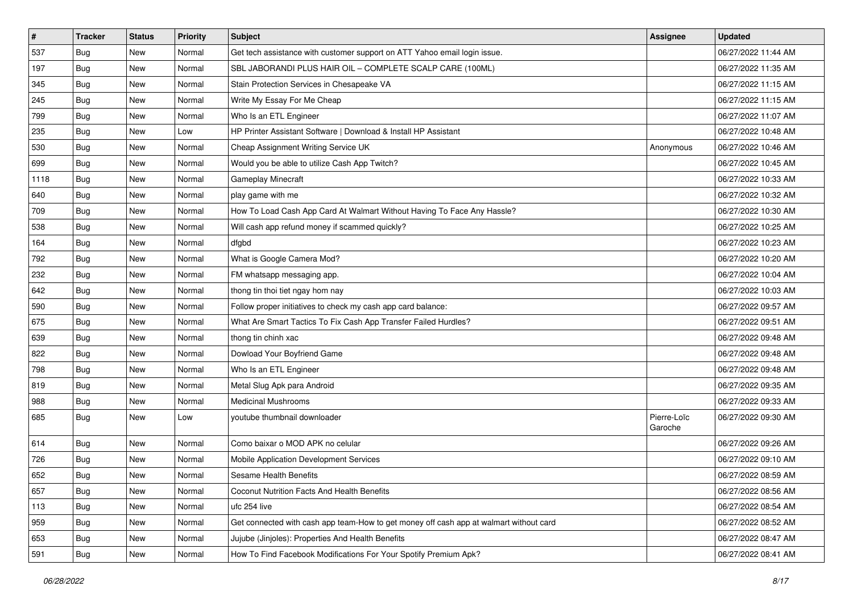| $\vert$ # | <b>Tracker</b> | <b>Status</b> | Priority | <b>Subject</b>                                                                         | <b>Assignee</b>        | <b>Updated</b>      |
|-----------|----------------|---------------|----------|----------------------------------------------------------------------------------------|------------------------|---------------------|
| 537       | <b>Bug</b>     | New           | Normal   | Get tech assistance with customer support on ATT Yahoo email login issue.              |                        | 06/27/2022 11:44 AM |
| 197       | <b>Bug</b>     | New           | Normal   | SBL JABORANDI PLUS HAIR OIL - COMPLETE SCALP CARE (100ML)                              |                        | 06/27/2022 11:35 AM |
| 345       | Bug            | New           | Normal   | Stain Protection Services in Chesapeake VA                                             |                        | 06/27/2022 11:15 AM |
| 245       | <b>Bug</b>     | New           | Normal   | Write My Essay For Me Cheap                                                            |                        | 06/27/2022 11:15 AM |
| 799       | <b>Bug</b>     | New           | Normal   | Who Is an ETL Engineer                                                                 |                        | 06/27/2022 11:07 AM |
| 235       | <b>Bug</b>     | New           | Low      | HP Printer Assistant Software   Download & Install HP Assistant                        |                        | 06/27/2022 10:48 AM |
| 530       | Bug            | New           | Normal   | Cheap Assignment Writing Service UK                                                    | Anonymous              | 06/27/2022 10:46 AM |
| 699       | <b>Bug</b>     | New           | Normal   | Would you be able to utilize Cash App Twitch?                                          |                        | 06/27/2022 10:45 AM |
| 1118      | <b>Bug</b>     | New           | Normal   | Gameplay Minecraft                                                                     |                        | 06/27/2022 10:33 AM |
| 640       | Bug            | New           | Normal   | play game with me                                                                      |                        | 06/27/2022 10:32 AM |
| 709       | <b>Bug</b>     | New           | Normal   | How To Load Cash App Card At Walmart Without Having To Face Any Hassle?                |                        | 06/27/2022 10:30 AM |
| 538       | <b>Bug</b>     | New           | Normal   | Will cash app refund money if scammed quickly?                                         |                        | 06/27/2022 10:25 AM |
| 164       | Bug            | <b>New</b>    | Normal   | dfgbd                                                                                  |                        | 06/27/2022 10:23 AM |
| 792       | <b>Bug</b>     | New           | Normal   | What is Google Camera Mod?                                                             |                        | 06/27/2022 10:20 AM |
| 232       | <b>Bug</b>     | New           | Normal   | FM whatsapp messaging app.                                                             |                        | 06/27/2022 10:04 AM |
| 642       | Bug            | New           | Normal   | thong tin thoi tiet ngay hom nay                                                       |                        | 06/27/2022 10:03 AM |
| 590       | <b>Bug</b>     | New           | Normal   | Follow proper initiatives to check my cash app card balance:                           |                        | 06/27/2022 09:57 AM |
| 675       | <b>Bug</b>     | New           | Normal   | What Are Smart Tactics To Fix Cash App Transfer Failed Hurdles?                        |                        | 06/27/2022 09:51 AM |
| 639       | Bug            | New           | Normal   | thong tin chinh xac                                                                    |                        | 06/27/2022 09:48 AM |
| 822       | <b>Bug</b>     | New           | Normal   | Dowload Your Boyfriend Game                                                            |                        | 06/27/2022 09:48 AM |
| 798       | <b>Bug</b>     | New           | Normal   | Who Is an ETL Engineer                                                                 |                        | 06/27/2022 09:48 AM |
| 819       | <b>Bug</b>     | New           | Normal   | Metal Slug Apk para Android                                                            |                        | 06/27/2022 09:35 AM |
| 988       | Bug            | New           | Normal   | <b>Medicinal Mushrooms</b>                                                             |                        | 06/27/2022 09:33 AM |
| 685       | Bug            | New           | Low      | youtube thumbnail downloader                                                           | Pierre-Loïc<br>Garoche | 06/27/2022 09:30 AM |
| 614       | <b>Bug</b>     | New           | Normal   | Como baixar o MOD APK no celular                                                       |                        | 06/27/2022 09:26 AM |
| 726       | <b>Bug</b>     | New           | Normal   | Mobile Application Development Services                                                |                        | 06/27/2022 09:10 AM |
| 652       | <b>Bug</b>     | New           | Normal   | <b>Sesame Health Benefits</b>                                                          |                        | 06/27/2022 08:59 AM |
| 657       | Bug            | New           | Normal   | Coconut Nutrition Facts And Health Benefits                                            |                        | 06/27/2022 08:56 AM |
| 113       | <b>Bug</b>     | New           | Normal   | ufc 254 live                                                                           |                        | 06/27/2022 08:54 AM |
| 959       | <b>Bug</b>     | New           | Normal   | Get connected with cash app team-How to get money off cash app at walmart without card |                        | 06/27/2022 08:52 AM |
| 653       | <b>Bug</b>     | New           | Normal   | Jujube (Jinjoles): Properties And Health Benefits                                      |                        | 06/27/2022 08:47 AM |
| 591       | <b>Bug</b>     | New           | Normal   | How To Find Facebook Modifications For Your Spotify Premium Apk?                       |                        | 06/27/2022 08:41 AM |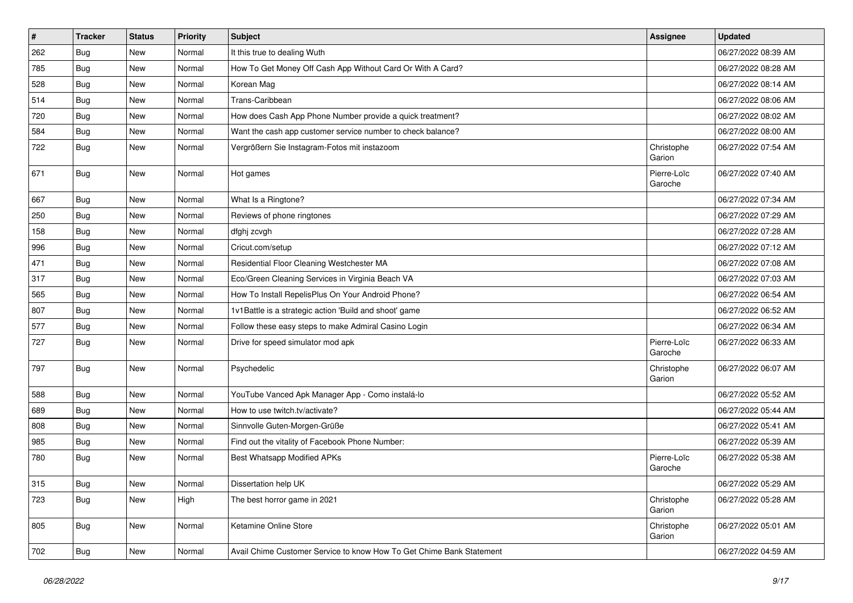| $\vert$ # | <b>Tracker</b> | <b>Status</b> | <b>Priority</b> | Subject                                                              | Assignee               | <b>Updated</b>      |
|-----------|----------------|---------------|-----------------|----------------------------------------------------------------------|------------------------|---------------------|
| 262       | <b>Bug</b>     | New           | Normal          | It this true to dealing Wuth                                         |                        | 06/27/2022 08:39 AM |
| 785       | <b>Bug</b>     | <b>New</b>    | Normal          | How To Get Money Off Cash App Without Card Or With A Card?           |                        | 06/27/2022 08:28 AM |
| 528       | <b>Bug</b>     | New           | Normal          | Korean Mag                                                           |                        | 06/27/2022 08:14 AM |
| 514       | <b>Bug</b>     | New           | Normal          | Trans-Caribbean                                                      |                        | 06/27/2022 08:06 AM |
| 720       | <b>Bug</b>     | <b>New</b>    | Normal          | How does Cash App Phone Number provide a quick treatment?            |                        | 06/27/2022 08:02 AM |
| 584       | <b>Bug</b>     | New           | Normal          | Want the cash app customer service number to check balance?          |                        | 06/27/2022 08:00 AM |
| 722       | <b>Bug</b>     | New           | Normal          | Vergrößern Sie Instagram-Fotos mit instazoom                         | Christophe<br>Garion   | 06/27/2022 07:54 AM |
| 671       | <b>Bug</b>     | New           | Normal          | Hot games                                                            | Pierre-Loïc<br>Garoche | 06/27/2022 07:40 AM |
| 667       | Bug            | <b>New</b>    | Normal          | What Is a Ringtone?                                                  |                        | 06/27/2022 07:34 AM |
| 250       | <b>Bug</b>     | New           | Normal          | Reviews of phone ringtones                                           |                        | 06/27/2022 07:29 AM |
| 158       | Bug            | <b>New</b>    | Normal          | dfghj zcvgh                                                          |                        | 06/27/2022 07:28 AM |
| 996       | <b>Bug</b>     | New           | Normal          | Cricut.com/setup                                                     |                        | 06/27/2022 07:12 AM |
| 471       | Bug            | <b>New</b>    | Normal          | Residential Floor Cleaning Westchester MA                            |                        | 06/27/2022 07:08 AM |
| 317       | <b>Bug</b>     | New           | Normal          | Eco/Green Cleaning Services in Virginia Beach VA                     |                        | 06/27/2022 07:03 AM |
| 565       | Bug            | New           | Normal          | How To Install RepelisPlus On Your Android Phone?                    |                        | 06/27/2022 06:54 AM |
| 807       | Bug            | <b>New</b>    | Normal          | 1v1Battle is a strategic action 'Build and shoot' game               |                        | 06/27/2022 06:52 AM |
| 577       | Bug            | New           | Normal          | Follow these easy steps to make Admiral Casino Login                 |                        | 06/27/2022 06:34 AM |
| 727       | <b>Bug</b>     | New           | Normal          | Drive for speed simulator mod apk                                    | Pierre-Loïc<br>Garoche | 06/27/2022 06:33 AM |
| 797       | Bug            | <b>New</b>    | Normal          | Psychedelic                                                          | Christophe<br>Garion   | 06/27/2022 06:07 AM |
| 588       | <b>Bug</b>     | <b>New</b>    | Normal          | YouTube Vanced Apk Manager App - Como instalá-lo                     |                        | 06/27/2022 05:52 AM |
| 689       | <b>Bug</b>     | New           | Normal          | How to use twitch.tv/activate?                                       |                        | 06/27/2022 05:44 AM |
| 808       | Bug            | <b>New</b>    | Normal          | Sinnvolle Guten-Morgen-Grüße                                         |                        | 06/27/2022 05:41 AM |
| 985       | Bug            | New           | Normal          | Find out the vitality of Facebook Phone Number:                      |                        | 06/27/2022 05:39 AM |
| 780       | Bug            | New           | Normal          | Best Whatsapp Modified APKs                                          | Pierre-Loïc<br>Garoche | 06/27/2022 05:38 AM |
| 315       | <b>Bug</b>     | New           | Normal          | Dissertation help UK                                                 |                        | 06/27/2022 05:29 AM |
| 723       | <b>Bug</b>     | New           | High            | The best horror game in 2021                                         | Christophe<br>Garion   | 06/27/2022 05:28 AM |
| 805       | Bug            | New           | Normal          | Ketamine Online Store                                                | Christophe<br>Garion   | 06/27/2022 05:01 AM |
| 702       | <b>Bug</b>     | New           | Normal          | Avail Chime Customer Service to know How To Get Chime Bank Statement |                        | 06/27/2022 04:59 AM |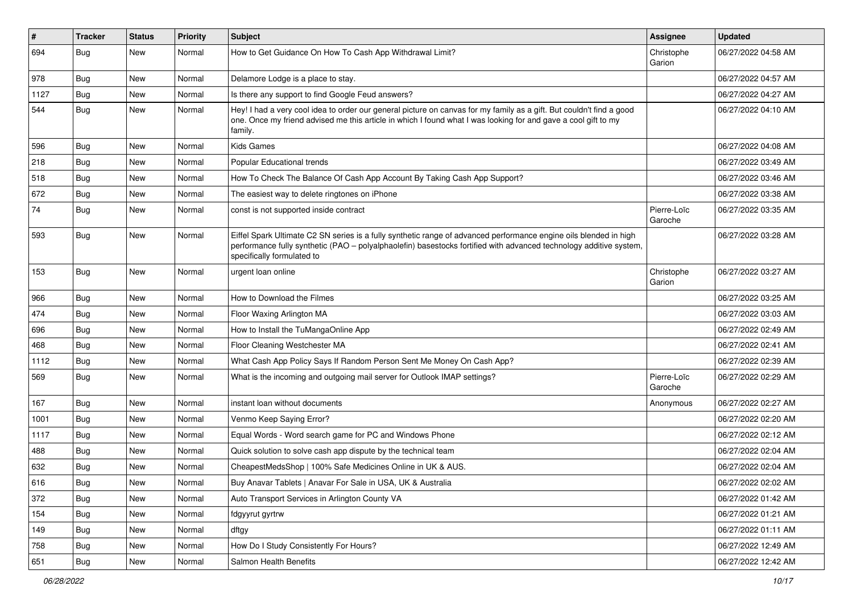| $\sharp$ | <b>Tracker</b> | <b>Status</b> | <b>Priority</b> | Subject                                                                                                                                                                                                                                                               | Assignee               | <b>Updated</b>      |
|----------|----------------|---------------|-----------------|-----------------------------------------------------------------------------------------------------------------------------------------------------------------------------------------------------------------------------------------------------------------------|------------------------|---------------------|
| 694      | Bug            | New           | Normal          | How to Get Guidance On How To Cash App Withdrawal Limit?                                                                                                                                                                                                              | Christophe<br>Garion   | 06/27/2022 04:58 AM |
| 978      | <b>Bug</b>     | New           | Normal          | Delamore Lodge is a place to stay.                                                                                                                                                                                                                                    |                        | 06/27/2022 04:57 AM |
| 1127     | <b>Bug</b>     | New           | Normal          | Is there any support to find Google Feud answers?                                                                                                                                                                                                                     |                        | 06/27/2022 04:27 AM |
| 544      | Bug            | <b>New</b>    | Normal          | Hey! I had a very cool idea to order our general picture on canvas for my family as a gift. But couldn't find a good<br>one. Once my friend advised me this article in which I found what I was looking for and gave a cool gift to my<br>family.                     |                        | 06/27/2022 04:10 AM |
| 596      | Bug            | New           | Normal          | <b>Kids Games</b>                                                                                                                                                                                                                                                     |                        | 06/27/2022 04:08 AM |
| 218      | Bug            | New           | Normal          | Popular Educational trends                                                                                                                                                                                                                                            |                        | 06/27/2022 03:49 AM |
| 518      | <b>Bug</b>     | New           | Normal          | How To Check The Balance Of Cash App Account By Taking Cash App Support?                                                                                                                                                                                              |                        | 06/27/2022 03:46 AM |
| 672      | <b>Bug</b>     | New           | Normal          | The easiest way to delete ringtones on iPhone                                                                                                                                                                                                                         |                        | 06/27/2022 03:38 AM |
| 74       | Bug            | New           | Normal          | const is not supported inside contract                                                                                                                                                                                                                                | Pierre-Loïc<br>Garoche | 06/27/2022 03:35 AM |
| 593      | <b>Bug</b>     | New           | Normal          | Eiffel Spark Ultimate C2 SN series is a fully synthetic range of advanced performance engine oils blended in high<br>performance fully synthetic (PAO - polyalphaolefin) basestocks fortified with advanced technology additive system,<br>specifically formulated to |                        | 06/27/2022 03:28 AM |
| 153      | <b>Bug</b>     | New           | Normal          | urgent loan online                                                                                                                                                                                                                                                    | Christophe<br>Garion   | 06/27/2022 03:27 AM |
| 966      | Bug            | New           | Normal          | How to Download the Filmes                                                                                                                                                                                                                                            |                        | 06/27/2022 03:25 AM |
| 474      | Bug            | New           | Normal          | Floor Waxing Arlington MA                                                                                                                                                                                                                                             |                        | 06/27/2022 03:03 AM |
| 696      | Bug            | New           | Normal          | How to Install the TuMangaOnline App                                                                                                                                                                                                                                  |                        | 06/27/2022 02:49 AM |
| 468      | <b>Bug</b>     | New           | Normal          | Floor Cleaning Westchester MA                                                                                                                                                                                                                                         |                        | 06/27/2022 02:41 AM |
| 1112     | Bug            | New           | Normal          | What Cash App Policy Says If Random Person Sent Me Money On Cash App?                                                                                                                                                                                                 |                        | 06/27/2022 02:39 AM |
| 569      | Bug            | New           | Normal          | What is the incoming and outgoing mail server for Outlook IMAP settings?                                                                                                                                                                                              | Pierre-Loïc<br>Garoche | 06/27/2022 02:29 AM |
| 167      | Bug            | <b>New</b>    | Normal          | instant loan without documents                                                                                                                                                                                                                                        | Anonymous              | 06/27/2022 02:27 AM |
| 1001     | Bug            | New           | Normal          | Venmo Keep Saying Error?                                                                                                                                                                                                                                              |                        | 06/27/2022 02:20 AM |
| 1117     | <b>Bug</b>     | New           | Normal          | Equal Words - Word search game for PC and Windows Phone                                                                                                                                                                                                               |                        | 06/27/2022 02:12 AM |
| 488      | Bug            | New           | Normal          | Quick solution to solve cash app dispute by the technical team                                                                                                                                                                                                        |                        | 06/27/2022 02:04 AM |
| 632      | <b>Bug</b>     | New           | Normal          | CheapestMedsShop   100% Safe Medicines Online in UK & AUS.                                                                                                                                                                                                            |                        | 06/27/2022 02:04 AM |
| 616      | Bug            | New           | Normal          | Buy Anavar Tablets   Anavar For Sale in USA, UK & Australia                                                                                                                                                                                                           |                        | 06/27/2022 02:02 AM |
| 372      | Bug            | New           | Normal          | Auto Transport Services in Arlington County VA                                                                                                                                                                                                                        |                        | 06/27/2022 01:42 AM |
| 154      | <b>Bug</b>     | New           | Normal          | fdgyyrut gyrtrw                                                                                                                                                                                                                                                       |                        | 06/27/2022 01:21 AM |
| 149      | Bug            | New           | Normal          | dftgy                                                                                                                                                                                                                                                                 |                        | 06/27/2022 01:11 AM |
| 758      | Bug            | New           | Normal          | How Do I Study Consistently For Hours?                                                                                                                                                                                                                                |                        | 06/27/2022 12:49 AM |
| 651      | Bug            | New           | Normal          | Salmon Health Benefits                                                                                                                                                                                                                                                |                        | 06/27/2022 12:42 AM |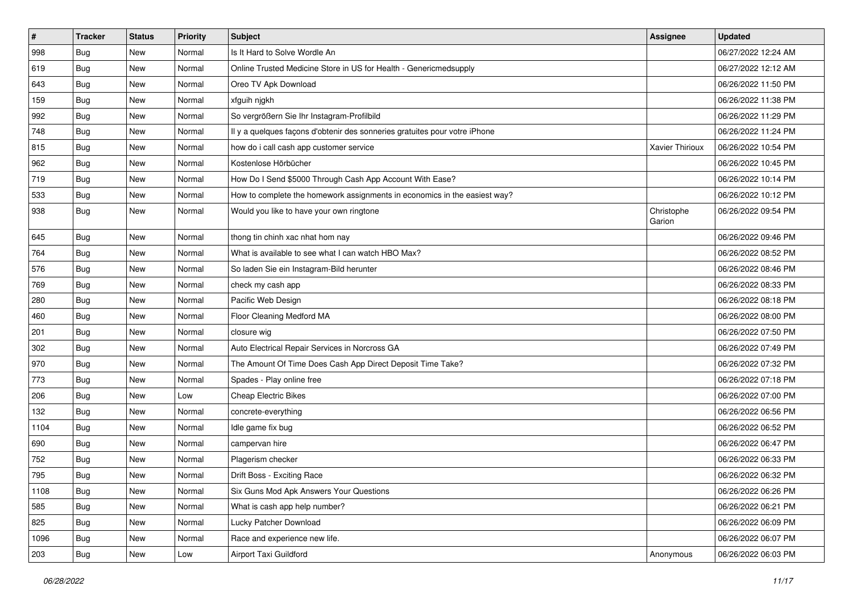| $\vert$ # | <b>Tracker</b> | <b>Status</b> | Priority | Subject                                                                    | <b>Assignee</b>      | <b>Updated</b>      |
|-----------|----------------|---------------|----------|----------------------------------------------------------------------------|----------------------|---------------------|
| 998       | <b>Bug</b>     | New           | Normal   | Is It Hard to Solve Wordle An                                              |                      | 06/27/2022 12:24 AM |
| 619       | <b>Bug</b>     | New           | Normal   | Online Trusted Medicine Store in US for Health - Genericmedsupply          |                      | 06/27/2022 12:12 AM |
| 643       | <b>Bug</b>     | New           | Normal   | Oreo TV Apk Download                                                       |                      | 06/26/2022 11:50 PM |
| 159       | <b>Bug</b>     | New           | Normal   | xfguih njgkh                                                               |                      | 06/26/2022 11:38 PM |
| 992       | <b>Bug</b>     | <b>New</b>    | Normal   | So vergrößern Sie Ihr Instagram-Profilbild                                 |                      | 06/26/2022 11:29 PM |
| 748       | <b>Bug</b>     | New           | Normal   | Il y a quelques façons d'obtenir des sonneries gratuites pour votre iPhone |                      | 06/26/2022 11:24 PM |
| 815       | <b>Bug</b>     | New           | Normal   | how do i call cash app customer service                                    | Xavier Thirioux      | 06/26/2022 10:54 PM |
| 962       | <b>Bug</b>     | New           | Normal   | Kostenlose Hörbücher                                                       |                      | 06/26/2022 10:45 PM |
| 719       | <b>Bug</b>     | New           | Normal   | How Do I Send \$5000 Through Cash App Account With Ease?                   |                      | 06/26/2022 10:14 PM |
| 533       | Bug            | <b>New</b>    | Normal   | How to complete the homework assignments in economics in the easiest way?  |                      | 06/26/2022 10:12 PM |
| 938       | <b>Bug</b>     | New           | Normal   | Would you like to have your own ringtone                                   | Christophe<br>Garion | 06/26/2022 09:54 PM |
| 645       | Bug            | <b>New</b>    | Normal   | thong tin chinh xac nhat hom nay                                           |                      | 06/26/2022 09:46 PM |
| 764       | <b>Bug</b>     | New           | Normal   | What is available to see what I can watch HBO Max?                         |                      | 06/26/2022 08:52 PM |
| 576       | <b>Bug</b>     | New           | Normal   | So laden Sie ein Instagram-Bild herunter                                   |                      | 06/26/2022 08:46 PM |
| 769       | <b>Bug</b>     | New           | Normal   | check my cash app                                                          |                      | 06/26/2022 08:33 PM |
| 280       | <b>Bug</b>     | New           | Normal   | Pacific Web Design                                                         |                      | 06/26/2022 08:18 PM |
| 460       | Bug            | <b>New</b>    | Normal   | Floor Cleaning Medford MA                                                  |                      | 06/26/2022 08:00 PM |
| 201       | Bug            | New           | Normal   | closure wig                                                                |                      | 06/26/2022 07:50 PM |
| 302       | Bug            | <b>New</b>    | Normal   | Auto Electrical Repair Services in Norcross GA                             |                      | 06/26/2022 07:49 PM |
| 970       | Bug            | <b>New</b>    | Normal   | The Amount Of Time Does Cash App Direct Deposit Time Take?                 |                      | 06/26/2022 07:32 PM |
| 773       | <b>Bug</b>     | <b>New</b>    | Normal   | Spades - Play online free                                                  |                      | 06/26/2022 07:18 PM |
| 206       | Bug            | <b>New</b>    | Low      | <b>Cheap Electric Bikes</b>                                                |                      | 06/26/2022 07:00 PM |
| 132       | <b>Bug</b>     | New           | Normal   | concrete-everything                                                        |                      | 06/26/2022 06:56 PM |
| 1104      | <b>Bug</b>     | New           | Normal   | Idle game fix bug                                                          |                      | 06/26/2022 06:52 PM |
| 690       | <b>Bug</b>     | <b>New</b>    | Normal   | campervan hire                                                             |                      | 06/26/2022 06:47 PM |
| 752       | <b>Bug</b>     | New           | Normal   | Plagerism checker                                                          |                      | 06/26/2022 06:33 PM |
| 795       | <b>Bug</b>     | New           | Normal   | Drift Boss - Exciting Race                                                 |                      | 06/26/2022 06:32 PM |
| 1108      | <b>Bug</b>     | New           | Normal   | Six Guns Mod Apk Answers Your Questions                                    |                      | 06/26/2022 06:26 PM |
| 585       | <b>Bug</b>     | New           | Normal   | What is cash app help number?                                              |                      | 06/26/2022 06:21 PM |
| 825       | Bug            | New           | Normal   | Lucky Patcher Download                                                     |                      | 06/26/2022 06:09 PM |
| 1096      | Bug            | New           | Normal   | Race and experience new life.                                              |                      | 06/26/2022 06:07 PM |
| 203       | <b>Bug</b>     | New           | Low      | Airport Taxi Guildford                                                     | Anonymous            | 06/26/2022 06:03 PM |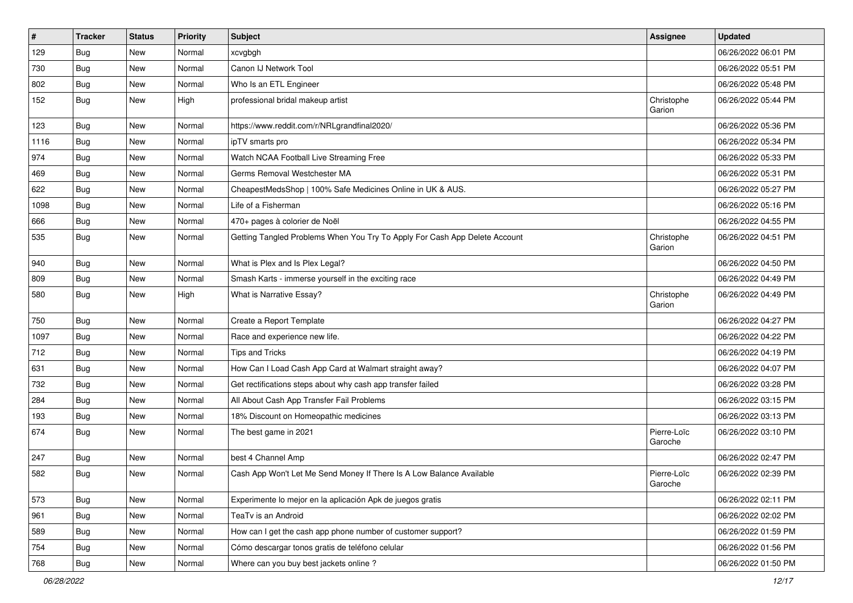| $\pmb{\#}$ | <b>Tracker</b> | <b>Status</b> | <b>Priority</b> | <b>Subject</b>                                                             | <b>Assignee</b>        | <b>Updated</b>      |
|------------|----------------|---------------|-----------------|----------------------------------------------------------------------------|------------------------|---------------------|
| 129        | Bug            | New           | Normal          | xcvgbgh                                                                    |                        | 06/26/2022 06:01 PM |
| 730        | Bug            | <b>New</b>    | Normal          | Canon IJ Network Tool                                                      |                        | 06/26/2022 05:51 PM |
| 802        | <b>Bug</b>     | New           | Normal          | Who Is an ETL Engineer                                                     |                        | 06/26/2022 05:48 PM |
| 152        | Bug            | New           | High            | professional bridal makeup artist                                          | Christophe<br>Garion   | 06/26/2022 05:44 PM |
| 123        | Bug            | <b>New</b>    | Normal          | https://www.reddit.com/r/NRLgrandfinal2020/                                |                        | 06/26/2022 05:36 PM |
| 1116       | <b>Bug</b>     | New           | Normal          | ipTV smarts pro                                                            |                        | 06/26/2022 05:34 PM |
| 974        | Bug            | New           | Normal          | Watch NCAA Football Live Streaming Free                                    |                        | 06/26/2022 05:33 PM |
| 469        | <b>Bug</b>     | New           | Normal          | Germs Removal Westchester MA                                               |                        | 06/26/2022 05:31 PM |
| 622        | Bug            | New           | Normal          | CheapestMedsShop   100% Safe Medicines Online in UK & AUS.                 |                        | 06/26/2022 05:27 PM |
| 1098       | <b>Bug</b>     | New           | Normal          | Life of a Fisherman                                                        |                        | 06/26/2022 05:16 PM |
| 666        | Bug            | New           | Normal          | 470+ pages à colorier de Noël                                              |                        | 06/26/2022 04:55 PM |
| 535        | <b>Bug</b>     | New           | Normal          | Getting Tangled Problems When You Try To Apply For Cash App Delete Account | Christophe<br>Garion   | 06/26/2022 04:51 PM |
| 940        | <b>Bug</b>     | <b>New</b>    | Normal          | What is Plex and Is Plex Legal?                                            |                        | 06/26/2022 04:50 PM |
| 809        | <b>Bug</b>     | New           | Normal          | Smash Karts - immerse yourself in the exciting race                        |                        | 06/26/2022 04:49 PM |
| 580        | <b>Bug</b>     | New           | High            | What is Narrative Essay?                                                   | Christophe<br>Garion   | 06/26/2022 04:49 PM |
| 750        | <b>Bug</b>     | New           | Normal          | Create a Report Template                                                   |                        | 06/26/2022 04:27 PM |
| 1097       | Bug            | New           | Normal          | Race and experience new life.                                              |                        | 06/26/2022 04:22 PM |
| 712        | Bug            | <b>New</b>    | Normal          | <b>Tips and Tricks</b>                                                     |                        | 06/26/2022 04:19 PM |
| 631        | <b>Bug</b>     | New           | Normal          | How Can I Load Cash App Card at Walmart straight away?                     |                        | 06/26/2022 04:07 PM |
| 732        | <b>Bug</b>     | New           | Normal          | Get rectifications steps about why cash app transfer failed                |                        | 06/26/2022 03:28 PM |
| 284        | Bug            | New           | Normal          | All About Cash App Transfer Fail Problems                                  |                        | 06/26/2022 03:15 PM |
| 193        | <b>Bug</b>     | New           | Normal          | 18% Discount on Homeopathic medicines                                      |                        | 06/26/2022 03:13 PM |
| 674        | Bug            | New           | Normal          | The best game in 2021                                                      | Pierre-Loïc<br>Garoche | 06/26/2022 03:10 PM |
| 247        | Bug            | New           | Normal          | best 4 Channel Amp                                                         |                        | 06/26/2022 02:47 PM |
| 582        | <b>Bug</b>     | New           | Normal          | Cash App Won't Let Me Send Money If There Is A Low Balance Available       | Pierre-Loïc<br>Garoche | 06/26/2022 02:39 PM |
| 573        | Bug            | New           | Normal          | Experimente lo mejor en la aplicación Apk de juegos gratis                 |                        | 06/26/2022 02:11 PM |
| 961        | Bug            | New           | Normal          | TeaTv is an Android                                                        |                        | 06/26/2022 02:02 PM |
| 589        | Bug            | New           | Normal          | How can I get the cash app phone number of customer support?               |                        | 06/26/2022 01:59 PM |
| 754        | <b>Bug</b>     | New           | Normal          | Cómo descargar tonos gratis de teléfono celular                            |                        | 06/26/2022 01:56 PM |
| 768        | <b>Bug</b>     | New           | Normal          | Where can you buy best jackets online?                                     |                        | 06/26/2022 01:50 PM |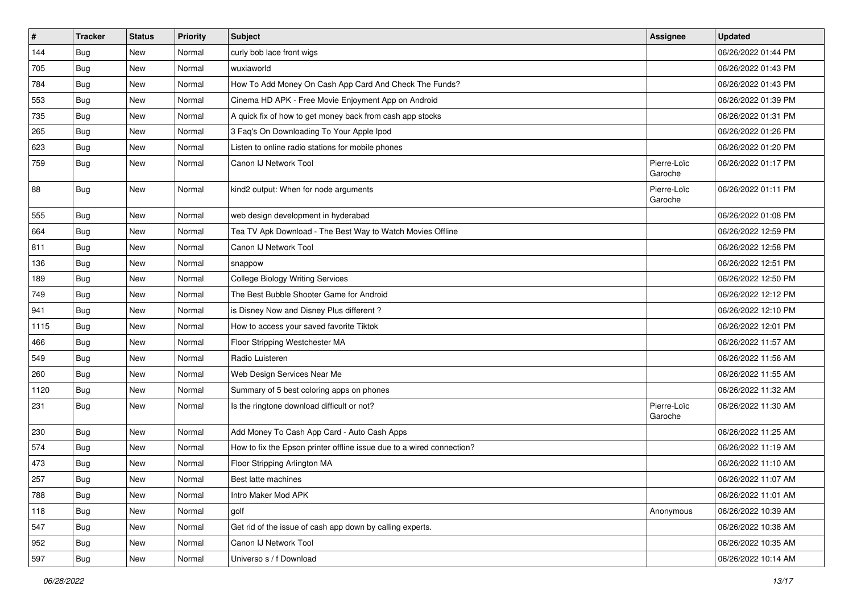| $\vert$ # | <b>Tracker</b> | <b>Status</b> | Priority | Subject                                                               | Assignee               | <b>Updated</b>      |
|-----------|----------------|---------------|----------|-----------------------------------------------------------------------|------------------------|---------------------|
| 144       | <b>Bug</b>     | New           | Normal   | curly bob lace front wigs                                             |                        | 06/26/2022 01:44 PM |
| 705       | <b>Bug</b>     | New           | Normal   | wuxiaworld                                                            |                        | 06/26/2022 01:43 PM |
| 784       | <b>Bug</b>     | New           | Normal   | How To Add Money On Cash App Card And Check The Funds?                |                        | 06/26/2022 01:43 PM |
| 553       | <b>Bug</b>     | New           | Normal   | Cinema HD APK - Free Movie Enjoyment App on Android                   |                        | 06/26/2022 01:39 PM |
| 735       | <b>Bug</b>     | <b>New</b>    | Normal   | A quick fix of how to get money back from cash app stocks             |                        | 06/26/2022 01:31 PM |
| 265       | <b>Bug</b>     | New           | Normal   | 3 Faq's On Downloading To Your Apple Ipod                             |                        | 06/26/2022 01:26 PM |
| 623       | <b>Bug</b>     | New           | Normal   | Listen to online radio stations for mobile phones                     |                        | 06/26/2022 01:20 PM |
| 759       | Bug            | New           | Normal   | Canon IJ Network Tool                                                 | Pierre-Loïc<br>Garoche | 06/26/2022 01:17 PM |
| 88        | Bug            | <b>New</b>    | Normal   | kind2 output: When for node arguments                                 | Pierre-Loïc<br>Garoche | 06/26/2022 01:11 PM |
| 555       | <b>Bug</b>     | New           | Normal   | web design development in hyderabad                                   |                        | 06/26/2022 01:08 PM |
| 664       | Bug            | <b>New</b>    | Normal   | Tea TV Apk Download - The Best Way to Watch Movies Offline            |                        | 06/26/2022 12:59 PM |
| 811       | <b>Bug</b>     | New           | Normal   | Canon IJ Network Tool                                                 |                        | 06/26/2022 12:58 PM |
| 136       | <b>Bug</b>     | New           | Normal   | snappow                                                               |                        | 06/26/2022 12:51 PM |
| 189       | Bug            | New           | Normal   | <b>College Biology Writing Services</b>                               |                        | 06/26/2022 12:50 PM |
| 749       | <b>Bug</b>     | New           | Normal   | The Best Bubble Shooter Game for Android                              |                        | 06/26/2022 12:12 PM |
| 941       | Bug            | <b>New</b>    | Normal   | is Disney Now and Disney Plus different?                              |                        | 06/26/2022 12:10 PM |
| 1115      | Bug            | New           | Normal   | How to access your saved favorite Tiktok                              |                        | 06/26/2022 12:01 PM |
| 466       | <b>Bug</b>     | New           | Normal   | Floor Stripping Westchester MA                                        |                        | 06/26/2022 11:57 AM |
| 549       | <b>Bug</b>     | <b>New</b>    | Normal   | Radio Luisteren                                                       |                        | 06/26/2022 11:56 AM |
| 260       | Bug            | New           | Normal   | Web Design Services Near Me                                           |                        | 06/26/2022 11:55 AM |
| 1120      | <b>Bug</b>     | New           | Normal   | Summary of 5 best coloring apps on phones                             |                        | 06/26/2022 11:32 AM |
| 231       | Bug            | New           | Normal   | Is the ringtone download difficult or not?                            | Pierre-Loïc<br>Garoche | 06/26/2022 11:30 AM |
| 230       | Bug            | <b>New</b>    | Normal   | Add Money To Cash App Card - Auto Cash Apps                           |                        | 06/26/2022 11:25 AM |
| 574       | <b>Bug</b>     | New           | Normal   | How to fix the Epson printer offline issue due to a wired connection? |                        | 06/26/2022 11:19 AM |
| 473       | <b>Bug</b>     | New           | Normal   | Floor Stripping Arlington MA                                          |                        | 06/26/2022 11:10 AM |
| 257       | Bug            | New           | Normal   | Best latte machines                                                   |                        | 06/26/2022 11:07 AM |
| 788       | <b>Bug</b>     | New           | Normal   | Intro Maker Mod APK                                                   |                        | 06/26/2022 11:01 AM |
| 118       | <b>Bug</b>     | New           | Normal   | golf                                                                  | Anonymous              | 06/26/2022 10:39 AM |
| 547       | <b>Bug</b>     | New           | Normal   | Get rid of the issue of cash app down by calling experts.             |                        | 06/26/2022 10:38 AM |
| 952       | Bug            | New           | Normal   | Canon IJ Network Tool                                                 |                        | 06/26/2022 10:35 AM |
| 597       | Bug            | New           | Normal   | Universo s / f Download                                               |                        | 06/26/2022 10:14 AM |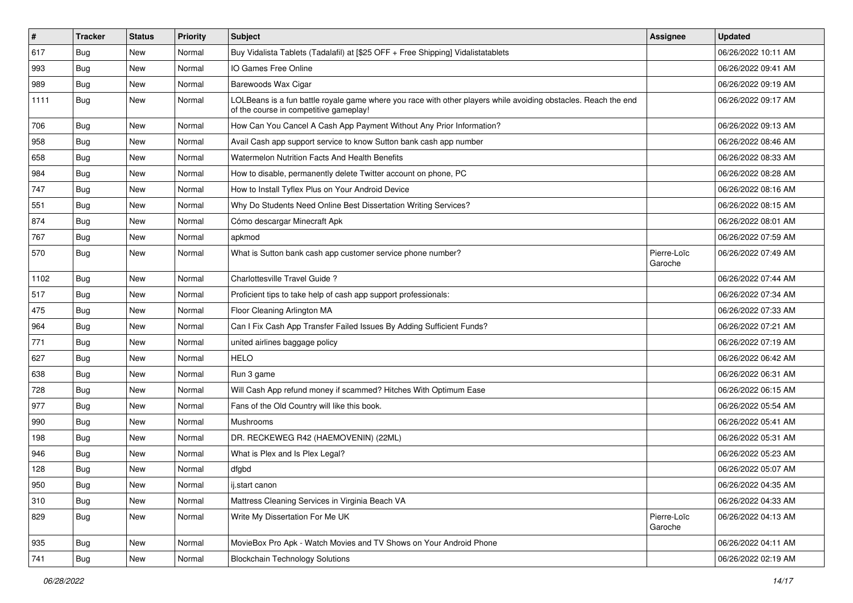| $\vert$ # | <b>Tracker</b> | <b>Status</b> | <b>Priority</b> | Subject                                                                                                                                                  | Assignee               | <b>Updated</b>      |
|-----------|----------------|---------------|-----------------|----------------------------------------------------------------------------------------------------------------------------------------------------------|------------------------|---------------------|
| 617       | <b>Bug</b>     | New           | Normal          | Buy Vidalista Tablets (Tadalafil) at [\$25 OFF + Free Shipping] Vidalistatablets                                                                         |                        | 06/26/2022 10:11 AM |
| 993       | Bug            | New           | Normal          | IO Games Free Online                                                                                                                                     |                        | 06/26/2022 09:41 AM |
| 989       | <b>Bug</b>     | New           | Normal          | Barewoods Wax Cigar                                                                                                                                      |                        | 06/26/2022 09:19 AM |
| 1111      | <b>Bug</b>     | New           | Normal          | LOLBeans is a fun battle royale game where you race with other players while avoiding obstacles. Reach the end<br>of the course in competitive gameplay! |                        | 06/26/2022 09:17 AM |
| 706       | Bug            | New           | Normal          | How Can You Cancel A Cash App Payment Without Any Prior Information?                                                                                     |                        | 06/26/2022 09:13 AM |
| 958       | Bug            | New           | Normal          | Avail Cash app support service to know Sutton bank cash app number                                                                                       |                        | 06/26/2022 08:46 AM |
| 658       | Bug            | <b>New</b>    | Normal          | Watermelon Nutrition Facts And Health Benefits                                                                                                           |                        | 06/26/2022 08:33 AM |
| 984       | Bug            | New           | Normal          | How to disable, permanently delete Twitter account on phone, PC                                                                                          |                        | 06/26/2022 08:28 AM |
| 747       | <b>Bug</b>     | New           | Normal          | How to Install Tyflex Plus on Your Android Device                                                                                                        |                        | 06/26/2022 08:16 AM |
| 551       | Bug            | New           | Normal          | Why Do Students Need Online Best Dissertation Writing Services?                                                                                          |                        | 06/26/2022 08:15 AM |
| 874       | <b>Bug</b>     | New           | Normal          | Cómo descargar Minecraft Apk                                                                                                                             |                        | 06/26/2022 08:01 AM |
| 767       | Bug            | New           | Normal          | apkmod                                                                                                                                                   |                        | 06/26/2022 07:59 AM |
| 570       | <b>Bug</b>     | New           | Normal          | What is Sutton bank cash app customer service phone number?                                                                                              | Pierre-Loïc<br>Garoche | 06/26/2022 07:49 AM |
| 1102      | Bug            | <b>New</b>    | Normal          | Charlottesville Travel Guide?                                                                                                                            |                        | 06/26/2022 07:44 AM |
| 517       | <b>Bug</b>     | New           | Normal          | Proficient tips to take help of cash app support professionals:                                                                                          |                        | 06/26/2022 07:34 AM |
| 475       | <b>Bug</b>     | New           | Normal          | Floor Cleaning Arlington MA                                                                                                                              |                        | 06/26/2022 07:33 AM |
| 964       | Bug            | New           | Normal          | Can I Fix Cash App Transfer Failed Issues By Adding Sufficient Funds?                                                                                    |                        | 06/26/2022 07:21 AM |
| 771       | <b>Bug</b>     | New           | Normal          | united airlines baggage policy                                                                                                                           |                        | 06/26/2022 07:19 AM |
| 627       | <b>Bug</b>     | New           | Normal          | <b>HELO</b>                                                                                                                                              |                        | 06/26/2022 06:42 AM |
| 638       | Bug            | New           | Normal          | Run 3 game                                                                                                                                               |                        | 06/26/2022 06:31 AM |
| 728       | <b>Bug</b>     | New           | Normal          | Will Cash App refund money if scammed? Hitches With Optimum Ease                                                                                         |                        | 06/26/2022 06:15 AM |
| 977       | <b>Bug</b>     | New           | Normal          | Fans of the Old Country will like this book.                                                                                                             |                        | 06/26/2022 05:54 AM |
| 990       | <b>Bug</b>     | New           | Normal          | Mushrooms                                                                                                                                                |                        | 06/26/2022 05:41 AM |
| 198       | Bug            | New           | Normal          | DR. RECKEWEG R42 (HAEMOVENIN) (22ML)                                                                                                                     |                        | 06/26/2022 05:31 AM |
| 946       | <b>Bug</b>     | New           | Normal          | What is Plex and Is Plex Legal?                                                                                                                          |                        | 06/26/2022 05:23 AM |
| 128       | <b>Bug</b>     | <b>New</b>    | Normal          | dfgbd                                                                                                                                                    |                        | 06/26/2022 05:07 AM |
| 950       | Bug            | New           | Normal          | ij.start canon                                                                                                                                           |                        | 06/26/2022 04:35 AM |
| 310       | Bug            | New           | Normal          | Mattress Cleaning Services in Virginia Beach VA                                                                                                          |                        | 06/26/2022 04:33 AM |
| 829       | Bug            | New           | Normal          | Write My Dissertation For Me UK                                                                                                                          | Pierre-Loïc<br>Garoche | 06/26/2022 04:13 AM |
| 935       | <b>Bug</b>     | New           | Normal          | MovieBox Pro Apk - Watch Movies and TV Shows on Your Android Phone                                                                                       |                        | 06/26/2022 04:11 AM |
| 741       | Bug            | New           | Normal          | <b>Blockchain Technology Solutions</b>                                                                                                                   |                        | 06/26/2022 02:19 AM |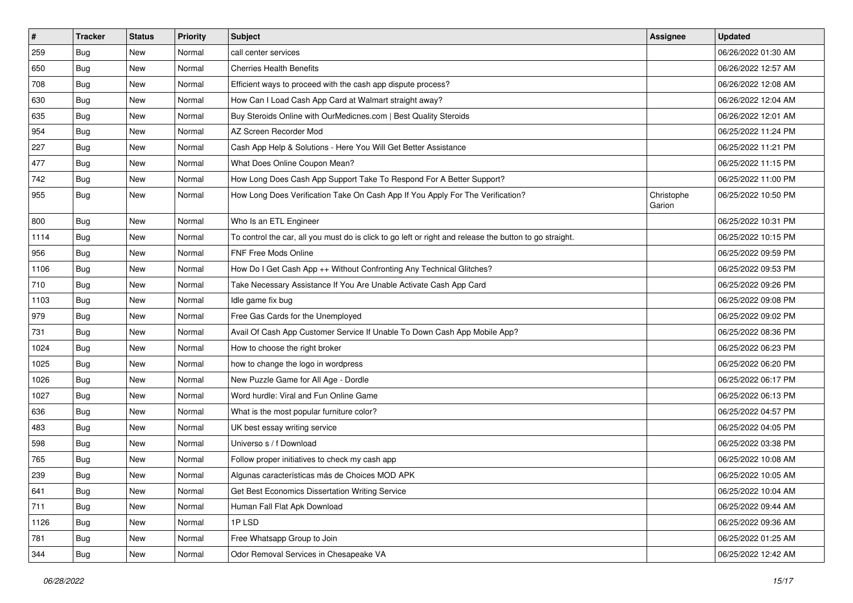| $\vert$ # | <b>Tracker</b> | <b>Status</b> | Priority | <b>Subject</b>                                                                                          | <b>Assignee</b>      | <b>Updated</b>      |
|-----------|----------------|---------------|----------|---------------------------------------------------------------------------------------------------------|----------------------|---------------------|
| 259       | <b>Bug</b>     | New           | Normal   | call center services                                                                                    |                      | 06/26/2022 01:30 AM |
| 650       | <b>Bug</b>     | New           | Normal   | <b>Cherries Health Benefits</b>                                                                         |                      | 06/26/2022 12:57 AM |
| 708       | <b>Bug</b>     | New           | Normal   | Efficient ways to proceed with the cash app dispute process?                                            |                      | 06/26/2022 12:08 AM |
| 630       | <b>Bug</b>     | New           | Normal   | How Can I Load Cash App Card at Walmart straight away?                                                  |                      | 06/26/2022 12:04 AM |
| 635       | <b>Bug</b>     | New           | Normal   | Buy Steroids Online with OurMedicnes.com   Best Quality Steroids                                        |                      | 06/26/2022 12:01 AM |
| 954       | <b>Bug</b>     | New           | Normal   | AZ Screen Recorder Mod                                                                                  |                      | 06/25/2022 11:24 PM |
| 227       | Bug            | New           | Normal   | Cash App Help & Solutions - Here You Will Get Better Assistance                                         |                      | 06/25/2022 11:21 PM |
| 477       | <b>Bug</b>     | New           | Normal   | What Does Online Coupon Mean?                                                                           |                      | 06/25/2022 11:15 PM |
| 742       | <b>Bug</b>     | New           | Normal   | How Long Does Cash App Support Take To Respond For A Better Support?                                    |                      | 06/25/2022 11:00 PM |
| 955       | <b>Bug</b>     | New           | Normal   | How Long Does Verification Take On Cash App If You Apply For The Verification?                          | Christophe<br>Garion | 06/25/2022 10:50 PM |
| 800       | Bug            | New           | Normal   | Who Is an ETL Engineer                                                                                  |                      | 06/25/2022 10:31 PM |
| 1114      | Bug            | New           | Normal   | To control the car, all you must do is click to go left or right and release the button to go straight. |                      | 06/25/2022 10:15 PM |
| 956       | Bug            | New           | Normal   | FNF Free Mods Online                                                                                    |                      | 06/25/2022 09:59 PM |
| 1106      | <b>Bug</b>     | New           | Normal   | How Do I Get Cash App ++ Without Confronting Any Technical Glitches?                                    |                      | 06/25/2022 09:53 PM |
| 710       | <b>Bug</b>     | New           | Normal   | Take Necessary Assistance If You Are Unable Activate Cash App Card                                      |                      | 06/25/2022 09:26 PM |
| 1103      | <b>Bug</b>     | New           | Normal   | Idle game fix bug                                                                                       |                      | 06/25/2022 09:08 PM |
| 979       | Bug            | New           | Normal   | Free Gas Cards for the Unemployed                                                                       |                      | 06/25/2022 09:02 PM |
| 731       | <b>Bug</b>     | New           | Normal   | Avail Of Cash App Customer Service If Unable To Down Cash App Mobile App?                               |                      | 06/25/2022 08:36 PM |
| 1024      | Bug            | New           | Normal   | How to choose the right broker                                                                          |                      | 06/25/2022 06:23 PM |
| 1025      | Bug            | New           | Normal   | how to change the logo in wordpress                                                                     |                      | 06/25/2022 06:20 PM |
| 1026      | <b>Bug</b>     | New           | Normal   | New Puzzle Game for All Age - Dordle                                                                    |                      | 06/25/2022 06:17 PM |
| 1027      | Bug            | New           | Normal   | Word hurdle: Viral and Fun Online Game                                                                  |                      | 06/25/2022 06:13 PM |
| 636       | <b>Bug</b>     | New           | Normal   | What is the most popular furniture color?                                                               |                      | 06/25/2022 04:57 PM |
| 483       | <b>Bug</b>     | New           | Normal   | UK best essay writing service                                                                           |                      | 06/25/2022 04:05 PM |
| 598       | <b>Bug</b>     | New           | Normal   | Universo s / f Download                                                                                 |                      | 06/25/2022 03:38 PM |
| 765       | <b>Bug</b>     | New           | Normal   | Follow proper initiatives to check my cash app                                                          |                      | 06/25/2022 10:08 AM |
| 239       | <b>Bug</b>     | New           | Normal   | Algunas características más de Choices MOD APK                                                          |                      | 06/25/2022 10:05 AM |
| 641       | Bug            | New           | Normal   | Get Best Economics Dissertation Writing Service                                                         |                      | 06/25/2022 10:04 AM |
| 711       | Bug            | New           | Normal   | Human Fall Flat Apk Download                                                                            |                      | 06/25/2022 09:44 AM |
| 1126      | <b>Bug</b>     | New           | Normal   | 1PLSD                                                                                                   |                      | 06/25/2022 09:36 AM |
| 781       | Bug            | New           | Normal   | Free Whatsapp Group to Join                                                                             |                      | 06/25/2022 01:25 AM |
| 344       | <b>Bug</b>     | New           | Normal   | Odor Removal Services in Chesapeake VA                                                                  |                      | 06/25/2022 12:42 AM |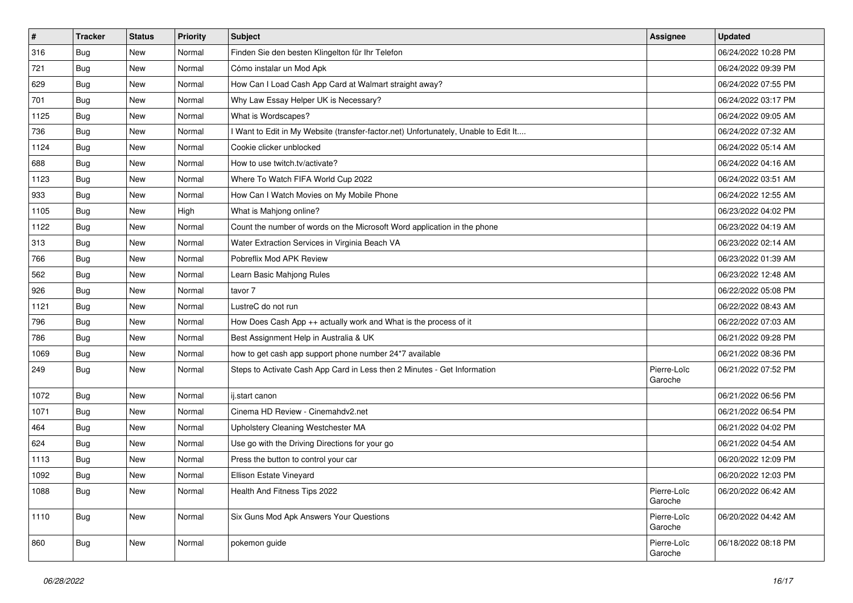| $\vert$ # | <b>Tracker</b> | <b>Status</b> | Priority | Subject                                                                           | <b>Assignee</b>        | <b>Updated</b>      |
|-----------|----------------|---------------|----------|-----------------------------------------------------------------------------------|------------------------|---------------------|
| 316       | Bug            | New           | Normal   | Finden Sie den besten Klingelton für Ihr Telefon                                  |                        | 06/24/2022 10:28 PM |
| 721       | <b>Bug</b>     | <b>New</b>    | Normal   | Cómo instalar un Mod Apk                                                          |                        | 06/24/2022 09:39 PM |
| 629       | <b>Bug</b>     | New           | Normal   | How Can I Load Cash App Card at Walmart straight away?                            |                        | 06/24/2022 07:55 PM |
| 701       | <b>Bug</b>     | New           | Normal   | Why Law Essay Helper UK is Necessary?                                             |                        | 06/24/2022 03:17 PM |
| 1125      | <b>Bug</b>     | <b>New</b>    | Normal   | What is Wordscapes?                                                               |                        | 06/24/2022 09:05 AM |
| 736       | <b>Bug</b>     | New           | Normal   | Want to Edit in My Website (transfer-factor.net) Unfortunately, Unable to Edit It |                        | 06/24/2022 07:32 AM |
| 1124      | <b>Bug</b>     | New           | Normal   | Cookie clicker unblocked                                                          |                        | 06/24/2022 05:14 AM |
| 688       | Bug            | New           | Normal   | How to use twitch.tv/activate?                                                    |                        | 06/24/2022 04:16 AM |
| 1123      | <b>Bug</b>     | New           | Normal   | Where To Watch FIFA World Cup 2022                                                |                        | 06/24/2022 03:51 AM |
| 933       | Bug            | <b>New</b>    | Normal   | How Can I Watch Movies on My Mobile Phone                                         |                        | 06/24/2022 12:55 AM |
| 1105      | Bug            | New           | High     | What is Mahjong online?                                                           |                        | 06/23/2022 04:02 PM |
| 1122      | Bug            | <b>New</b>    | Normal   | Count the number of words on the Microsoft Word application in the phone          |                        | 06/23/2022 04:19 AM |
| 313       | <b>Bug</b>     | New           | Normal   | Water Extraction Services in Virginia Beach VA                                    |                        | 06/23/2022 02:14 AM |
| 766       | <b>Bug</b>     | New           | Normal   | Pobreflix Mod APK Review                                                          |                        | 06/23/2022 01:39 AM |
| 562       | Bug            | <b>New</b>    | Normal   | Learn Basic Mahjong Rules                                                         |                        | 06/23/2022 12:48 AM |
| 926       | <b>Bug</b>     | New           | Normal   | tavor 7                                                                           |                        | 06/22/2022 05:08 PM |
| 1121      | <b>Bug</b>     | New           | Normal   | LustreC do not run                                                                |                        | 06/22/2022 08:43 AM |
| 796       | Bug            | <b>New</b>    | Normal   | How Does Cash App ++ actually work and What is the process of it                  |                        | 06/22/2022 07:03 AM |
| 786       | <b>Bug</b>     | New           | Normal   | Best Assignment Help in Australia & UK                                            |                        | 06/21/2022 09:28 PM |
| 1069      | <b>Bug</b>     | <b>New</b>    | Normal   | how to get cash app support phone number 24*7 available                           |                        | 06/21/2022 08:36 PM |
| 249       | Bug            | New           | Normal   | Steps to Activate Cash App Card in Less then 2 Minutes - Get Information          | Pierre-Loïc<br>Garoche | 06/21/2022 07:52 PM |
| 1072      | Bug            | <b>New</b>    | Normal   | ij.start canon                                                                    |                        | 06/21/2022 06:56 PM |
| 1071      | Bug            | New           | Normal   | Cinema HD Review - Cinemahdv2.net                                                 |                        | 06/21/2022 06:54 PM |
| 464       | Bug            | New           | Normal   | Upholstery Cleaning Westchester MA                                                |                        | 06/21/2022 04:02 PM |
| 624       | <b>Bug</b>     | New           | Normal   | Use go with the Driving Directions for your go                                    |                        | 06/21/2022 04:54 AM |
| 1113      | Bug            | New           | Normal   | Press the button to control your car                                              |                        | 06/20/2022 12:09 PM |
| 1092      | <b>Bug</b>     | New           | Normal   | Ellison Estate Vineyard                                                           |                        | 06/20/2022 12:03 PM |
| 1088      | Bug            | New           | Normal   | Health And Fitness Tips 2022                                                      | Pierre-Loïc<br>Garoche | 06/20/2022 06:42 AM |
| 1110      | <b>Bug</b>     | New           | Normal   | Six Guns Mod Apk Answers Your Questions                                           | Pierre-Loïc<br>Garoche | 06/20/2022 04:42 AM |
| 860       | <b>Bug</b>     | New           | Normal   | pokemon guide                                                                     | Pierre-Loïc<br>Garoche | 06/18/2022 08:18 PM |